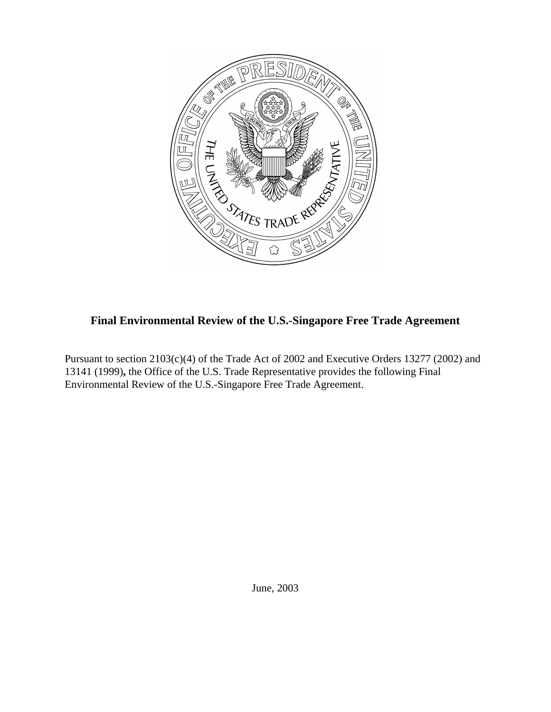

# **Final Environmental Review of the U.S.-Singapore Free Trade Agreement**

Pursuant to section 2103(c)(4) of the Trade Act of 2002 and Executive Orders 13277 (2002) and 13141 (1999)**,** the Office of the U.S. Trade Representative provides the following Final Environmental Review of the U.S.-Singapore Free Trade Agreement.

June, 2003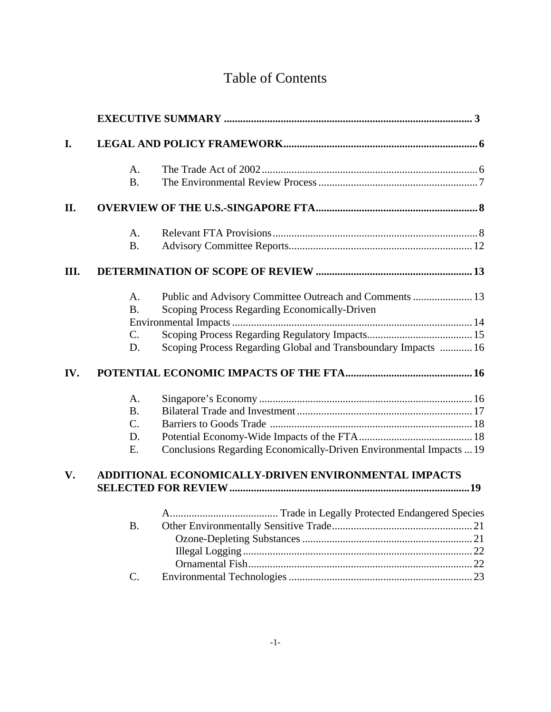# Table of Contents

| I.  |                                                      |                                                                     |  |  |
|-----|------------------------------------------------------|---------------------------------------------------------------------|--|--|
|     | A.                                                   |                                                                     |  |  |
|     | <b>B.</b>                                            |                                                                     |  |  |
| П.  |                                                      |                                                                     |  |  |
|     | A.                                                   |                                                                     |  |  |
|     | <b>B.</b>                                            |                                                                     |  |  |
| Ш.  |                                                      |                                                                     |  |  |
|     | $A_{\cdot}$                                          | Public and Advisory Committee Outreach and Comments  13             |  |  |
|     | <b>B.</b>                                            | Scoping Process Regarding Economically-Driven                       |  |  |
|     |                                                      |                                                                     |  |  |
|     | C.                                                   |                                                                     |  |  |
|     | D.                                                   | Scoping Process Regarding Global and Transboundary Impacts  16      |  |  |
| IV. |                                                      |                                                                     |  |  |
|     | A.                                                   |                                                                     |  |  |
|     | <b>B.</b>                                            |                                                                     |  |  |
|     | C.                                                   |                                                                     |  |  |
|     | D.                                                   |                                                                     |  |  |
|     | E.                                                   | Conclusions Regarding Economically-Driven Environmental Impacts  19 |  |  |
| V.  | ADDITIONAL ECONOMICALLY-DRIVEN ENVIRONMENTAL IMPACTS |                                                                     |  |  |
|     |                                                      |                                                                     |  |  |
|     |                                                      |                                                                     |  |  |
|     | <b>B.</b>                                            |                                                                     |  |  |
|     |                                                      |                                                                     |  |  |
|     |                                                      |                                                                     |  |  |
|     |                                                      |                                                                     |  |  |
|     | $\mathsf{C}$ .                                       |                                                                     |  |  |
|     |                                                      |                                                                     |  |  |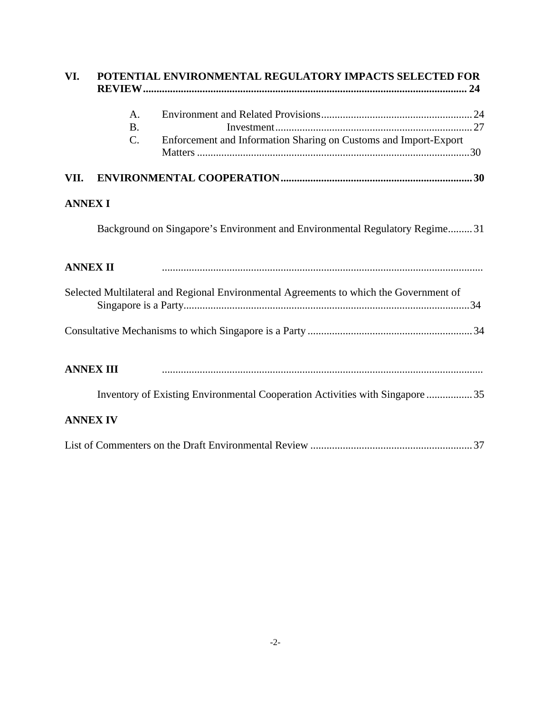| VI.             | POTENTIAL ENVIRONMENTAL REGULATORY IMPACTS SELECTED FOR |                                                                                        |  |  |  |
|-----------------|---------------------------------------------------------|----------------------------------------------------------------------------------------|--|--|--|
|                 | A.                                                      |                                                                                        |  |  |  |
|                 | <b>B.</b><br>C.                                         | Enforcement and Information Sharing on Customs and Import-Export                       |  |  |  |
| VII.            |                                                         |                                                                                        |  |  |  |
| <b>ANNEX I</b>  |                                                         |                                                                                        |  |  |  |
|                 |                                                         | Background on Singapore's Environment and Environmental Regulatory Regime31            |  |  |  |
| <b>ANNEX II</b> |                                                         |                                                                                        |  |  |  |
|                 |                                                         | Selected Multilateral and Regional Environmental Agreements to which the Government of |  |  |  |
|                 |                                                         |                                                                                        |  |  |  |
|                 | <b>ANNEX III</b>                                        |                                                                                        |  |  |  |
|                 |                                                         | Inventory of Existing Environmental Cooperation Activities with Singapore  35          |  |  |  |
|                 | <b>ANNEX IV</b>                                         |                                                                                        |  |  |  |
|                 |                                                         |                                                                                        |  |  |  |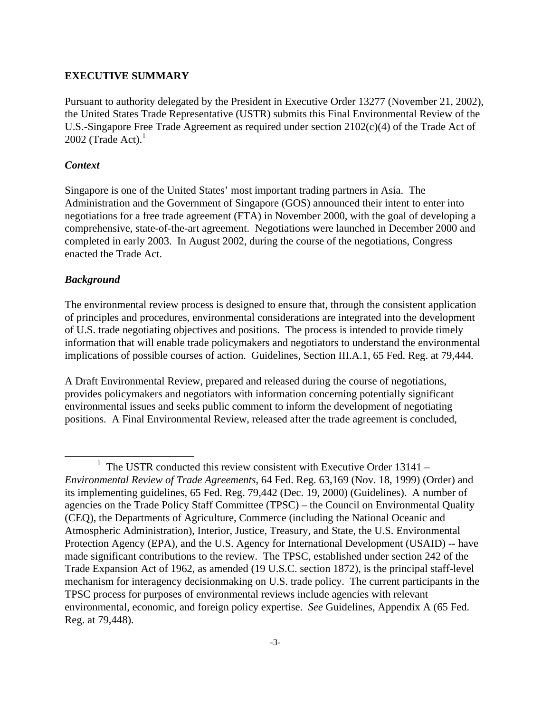#### **EXECUTIVE SUMMARY**

Pursuant to authority delegated by the President in Executive Order 13277 (November 21, 2002), the United States Trade Representative (USTR) submits this Final Environmental Review of the U.S.-Singapore Free Trade Agreement as required under section 2102(c)(4) of the Trade Act of 2002 (Trade Act). $1$ 

#### *Context*

Singapore is one of the United States' most important trading partners in Asia. The Administration and the Government of Singapore (GOS) announced their intent to enter into negotiations for a free trade agreement (FTA) in November 2000, with the goal of developing a comprehensive, state-of-the-art agreement. Negotiations were launched in December 2000 and completed in early 2003. In August 2002, during the course of the negotiations, Congress enacted the Trade Act.

#### *Background*

 $\overline{a}$ 

The environmental review process is designed to ensure that, through the consistent application of principles and procedures, environmental considerations are integrated into the development of U.S. trade negotiating objectives and positions. The process is intended to provide timely information that will enable trade policymakers and negotiators to understand the environmental implications of possible courses of action. Guidelines, Section III.A.1, 65 Fed. Reg. at 79,444.

A Draft Environmental Review, prepared and released during the course of negotiations, provides policymakers and negotiators with information concerning potentially significant environmental issues and seeks public comment to inform the development of negotiating positions. A Final Environmental Review, released after the trade agreement is concluded,

 $1$  The USTR conducted this review consistent with Executive Order 13141 – *Environmental Review of Trade Agreements*, 64 Fed. Reg. 63,169 (Nov. 18, 1999) (Order) and its implementing guidelines, 65 Fed. Reg. 79,442 (Dec. 19, 2000) (Guidelines). A number of agencies on the Trade Policy Staff Committee (TPSC) – the Council on Environmental Quality (CEQ), the Departments of Agriculture, Commerce (including the National Oceanic and Atmospheric Administration), Interior, Justice, Treasury, and State, the U.S. Environmental Protection Agency (EPA), and the U.S. Agency for International Development (USAID) -- have made significant contributions to the review. The TPSC, established under section 242 of the Trade Expansion Act of 1962, as amended (19 U.S.C. section 1872), is the principal staff-level mechanism for interagency decisionmaking on U.S. trade policy. The current participants in the TPSC process for purposes of environmental reviews include agencies with relevant environmental, economic, and foreign policy expertise. *See* Guidelines, Appendix A (65 Fed. Reg. at 79,448).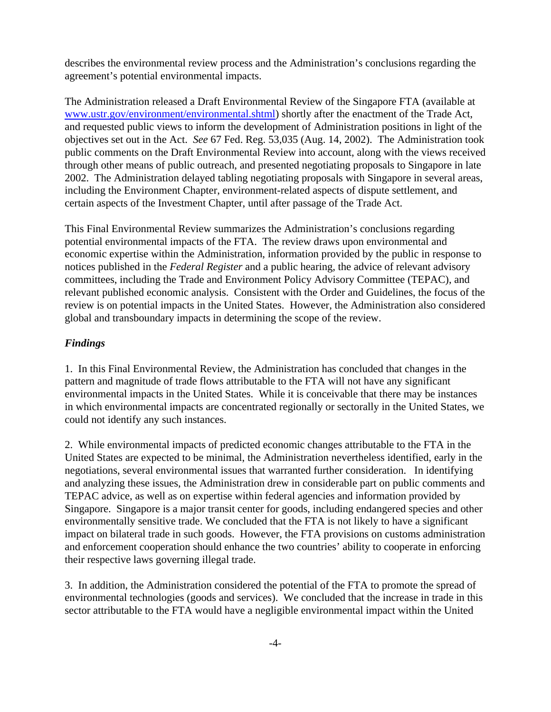describes the environmental review process and the Administration's conclusions regarding the agreement's potential environmental impacts.

The Administration released a Draft Environmental Review of the Singapore FTA (available at www.ustr.gov/environment/environmental.shtml) shortly after the enactment of the Trade Act, and requested public views to inform the development of Administration positions in light of the objectives set out in the Act. *See* 67 Fed. Reg. 53,035 (Aug. 14, 2002). The Administration took public comments on the Draft Environmental Review into account, along with the views received through other means of public outreach, and presented negotiating proposals to Singapore in late 2002. The Administration delayed tabling negotiating proposals with Singapore in several areas, including the Environment Chapter, environment-related aspects of dispute settlement, and certain aspects of the Investment Chapter, until after passage of the Trade Act.

This Final Environmental Review summarizes the Administration's conclusions regarding potential environmental impacts of the FTA. The review draws upon environmental and economic expertise within the Administration, information provided by the public in response to notices published in the *Federal Register* and a public hearing, the advice of relevant advisory committees, including the Trade and Environment Policy Advisory Committee (TEPAC), and relevant published economic analysis. Consistent with the Order and Guidelines, the focus of the review is on potential impacts in the United States. However, the Administration also considered global and transboundary impacts in determining the scope of the review.

# *Findings*

1. In this Final Environmental Review, the Administration has concluded that changes in the pattern and magnitude of trade flows attributable to the FTA will not have any significant environmental impacts in the United States. While it is conceivable that there may be instances in which environmental impacts are concentrated regionally or sectorally in the United States, we could not identify any such instances.

2. While environmental impacts of predicted economic changes attributable to the FTA in the United States are expected to be minimal, the Administration nevertheless identified, early in the negotiations, several environmental issues that warranted further consideration. In identifying and analyzing these issues, the Administration drew in considerable part on public comments and TEPAC advice, as well as on expertise within federal agencies and information provided by Singapore. Singapore is a major transit center for goods, including endangered species and other environmentally sensitive trade. We concluded that the FTA is not likely to have a significant impact on bilateral trade in such goods. However, the FTA provisions on customs administration and enforcement cooperation should enhance the two countries' ability to cooperate in enforcing their respective laws governing illegal trade.

3. In addition, the Administration considered the potential of the FTA to promote the spread of environmental technologies (goods and services). We concluded that the increase in trade in this sector attributable to the FTA would have a negligible environmental impact within the United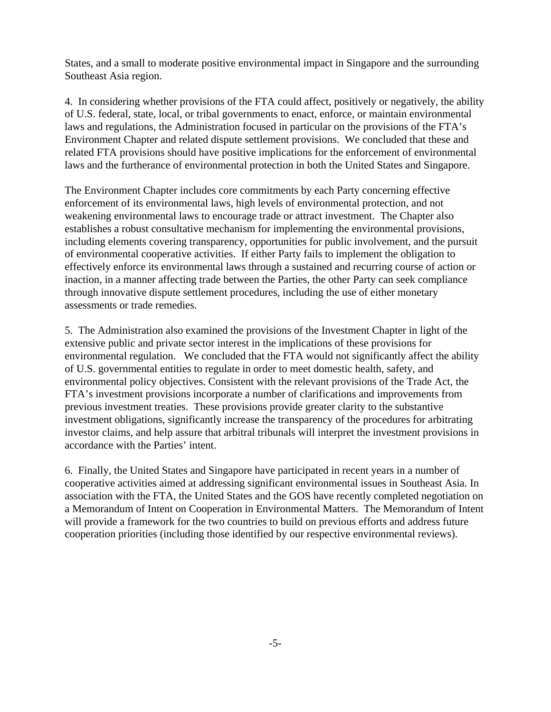States, and a small to moderate positive environmental impact in Singapore and the surrounding Southeast Asia region.

4. In considering whether provisions of the FTA could affect, positively or negatively, the ability of U.S. federal, state, local, or tribal governments to enact, enforce, or maintain environmental laws and regulations, the Administration focused in particular on the provisions of the FTA's Environment Chapter and related dispute settlement provisions. We concluded that these and related FTA provisions should have positive implications for the enforcement of environmental laws and the furtherance of environmental protection in both the United States and Singapore.

The Environment Chapter includes core commitments by each Party concerning effective enforcement of its environmental laws, high levels of environmental protection, and not weakening environmental laws to encourage trade or attract investment. The Chapter also establishes a robust consultative mechanism for implementing the environmental provisions, including elements covering transparency, opportunities for public involvement, and the pursuit of environmental cooperative activities. If either Party fails to implement the obligation to effectively enforce its environmental laws through a sustained and recurring course of action or inaction, in a manner affecting trade between the Parties, the other Party can seek compliance through innovative dispute settlement procedures, including the use of either monetary assessments or trade remedies.

5. The Administration also examined the provisions of the Investment Chapter in light of the extensive public and private sector interest in the implications of these provisions for environmental regulation. We concluded that the FTA would not significantly affect the ability of U.S. governmental entities to regulate in order to meet domestic health, safety, and environmental policy objectives. Consistent with the relevant provisions of the Trade Act, the FTA's investment provisions incorporate a number of clarifications and improvements from previous investment treaties. These provisions provide greater clarity to the substantive investment obligations, significantly increase the transparency of the procedures for arbitrating investor claims, and help assure that arbitral tribunals will interpret the investment provisions in accordance with the Parties' intent.

6. Finally, the United States and Singapore have participated in recent years in a number of cooperative activities aimed at addressing significant environmental issues in Southeast Asia. In association with the FTA, the United States and the GOS have recently completed negotiation on a Memorandum of Intent on Cooperation in Environmental Matters. The Memorandum of Intent will provide a framework for the two countries to build on previous efforts and address future cooperation priorities (including those identified by our respective environmental reviews).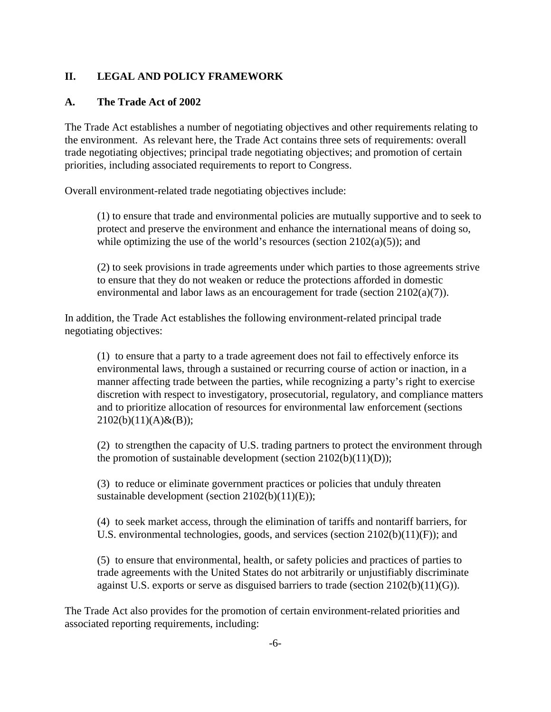### **II. LEGAL AND POLICY FRAMEWORK**

### **A. The Trade Act of 2002**

The Trade Act establishes a number of negotiating objectives and other requirements relating to the environment. As relevant here, the Trade Act contains three sets of requirements: overall trade negotiating objectives; principal trade negotiating objectives; and promotion of certain priorities, including associated requirements to report to Congress.

Overall environment-related trade negotiating objectives include:

(1) to ensure that trade and environmental policies are mutually supportive and to seek to protect and preserve the environment and enhance the international means of doing so, while optimizing the use of the world's resources (section  $2102(a)(5)$ ); and

(2) to seek provisions in trade agreements under which parties to those agreements strive to ensure that they do not weaken or reduce the protections afforded in domestic environmental and labor laws as an encouragement for trade (section 2102(a)(7)).

In addition, the Trade Act establishes the following environment-related principal trade negotiating objectives:

(1) to ensure that a party to a trade agreement does not fail to effectively enforce its environmental laws, through a sustained or recurring course of action or inaction, in a manner affecting trade between the parties, while recognizing a party's right to exercise discretion with respect to investigatory, prosecutorial, regulatory, and compliance matters and to prioritize allocation of resources for environmental law enforcement (sections  $2102(b)(11)(A) & (B));$ 

(2) to strengthen the capacity of U.S. trading partners to protect the environment through the promotion of sustainable development (section 2102(b)(11)(D));

(3) to reduce or eliminate government practices or policies that unduly threaten sustainable development (section 2102(b)(11)(E));

(4) to seek market access, through the elimination of tariffs and nontariff barriers, for U.S. environmental technologies, goods, and services (section 2102(b)(11)(F)); and

(5) to ensure that environmental, health, or safety policies and practices of parties to trade agreements with the United States do not arbitrarily or unjustifiably discriminate against U.S. exports or serve as disguised barriers to trade (section 2102(b)(11)(G)).

The Trade Act also provides for the promotion of certain environment-related priorities and associated reporting requirements, including: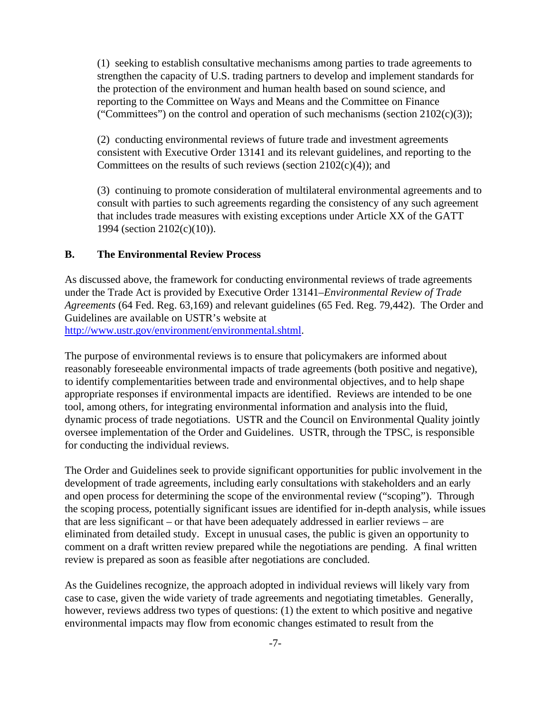(1) seeking to establish consultative mechanisms among parties to trade agreements to strengthen the capacity of U.S. trading partners to develop and implement standards for the protection of the environment and human health based on sound science, and reporting to the Committee on Ways and Means and the Committee on Finance ("Committees") on the control and operation of such mechanisms (section  $2102(c)(3)$ );

(2) conducting environmental reviews of future trade and investment agreements consistent with Executive Order 13141 and its relevant guidelines, and reporting to the Committees on the results of such reviews (section  $2102(c)(4)$ ); and

(3) continuing to promote consideration of multilateral environmental agreements and to consult with parties to such agreements regarding the consistency of any such agreement that includes trade measures with existing exceptions under Article XX of the GATT 1994 (section 2102(c)(10)).

### **B. The Environmental Review Process**

As discussed above, the framework for conducting environmental reviews of trade agreements under the Trade Act is provided by Executive Order 13141–*Environmental Review of Trade Agreements* (64 Fed. Reg. 63,169) and relevant guidelines (65 Fed. Reg. 79,442). The Order and Guidelines are available on USTR's website at http://www.ustr.gov/environment/environmental.shtml.

The purpose of environmental reviews is to ensure that policymakers are informed about reasonably foreseeable environmental impacts of trade agreements (both positive and negative), to identify complementarities between trade and environmental objectives, and to help shape appropriate responses if environmental impacts are identified. Reviews are intended to be one tool, among others, for integrating environmental information and analysis into the fluid, dynamic process of trade negotiations. USTR and the Council on Environmental Quality jointly oversee implementation of the Order and Guidelines. USTR, through the TPSC, is responsible for conducting the individual reviews.

The Order and Guidelines seek to provide significant opportunities for public involvement in the development of trade agreements, including early consultations with stakeholders and an early and open process for determining the scope of the environmental review ("scoping"). Through the scoping process, potentially significant issues are identified for in-depth analysis, while issues that are less significant – or that have been adequately addressed in earlier reviews – are eliminated from detailed study. Except in unusual cases, the public is given an opportunity to comment on a draft written review prepared while the negotiations are pending. A final written review is prepared as soon as feasible after negotiations are concluded.

As the Guidelines recognize, the approach adopted in individual reviews will likely vary from case to case, given the wide variety of trade agreements and negotiating timetables. Generally, however, reviews address two types of questions: (1) the extent to which positive and negative environmental impacts may flow from economic changes estimated to result from the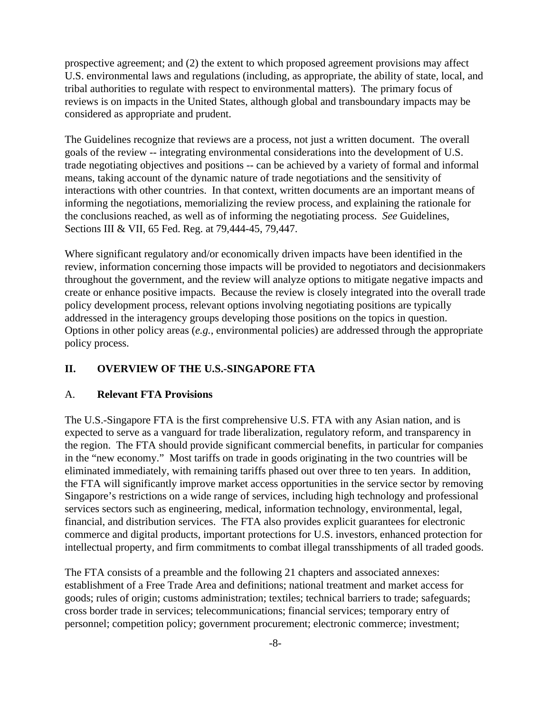prospective agreement; and (2) the extent to which proposed agreement provisions may affect U.S. environmental laws and regulations (including, as appropriate, the ability of state, local, and tribal authorities to regulate with respect to environmental matters). The primary focus of reviews is on impacts in the United States, although global and transboundary impacts may be considered as appropriate and prudent.

The Guidelines recognize that reviews are a process, not just a written document. The overall goals of the review -- integrating environmental considerations into the development of U.S. trade negotiating objectives and positions -- can be achieved by a variety of formal and informal means, taking account of the dynamic nature of trade negotiations and the sensitivity of interactions with other countries. In that context, written documents are an important means of informing the negotiations, memorializing the review process, and explaining the rationale for the conclusions reached, as well as of informing the negotiating process. *See* Guidelines, Sections III & VII, 65 Fed. Reg. at 79,444-45, 79,447.

Where significant regulatory and/or economically driven impacts have been identified in the review, information concerning those impacts will be provided to negotiators and decisionmakers throughout the government, and the review will analyze options to mitigate negative impacts and create or enhance positive impacts. Because the review is closely integrated into the overall trade policy development process, relevant options involving negotiating positions are typically addressed in the interagency groups developing those positions on the topics in question. Options in other policy areas (*e.g.*, environmental policies) are addressed through the appropriate policy process.

# **II. OVERVIEW OF THE U.S.-SINGAPORE FTA**

### A. **Relevant FTA Provisions**

The U.S.-Singapore FTA is the first comprehensive U.S. FTA with any Asian nation, and is expected to serve as a vanguard for trade liberalization, regulatory reform, and transparency in the region. The FTA should provide significant commercial benefits, in particular for companies in the "new economy." Most tariffs on trade in goods originating in the two countries will be eliminated immediately, with remaining tariffs phased out over three to ten years. In addition, the FTA will significantly improve market access opportunities in the service sector by removing Singapore's restrictions on a wide range of services, including high technology and professional services sectors such as engineering, medical, information technology, environmental, legal, financial, and distribution services. The FTA also provides explicit guarantees for electronic commerce and digital products, important protections for U.S. investors, enhanced protection for intellectual property, and firm commitments to combat illegal transshipments of all traded goods.

The FTA consists of a preamble and the following 21 chapters and associated annexes: establishment of a Free Trade Area and definitions; national treatment and market access for goods; rules of origin; customs administration; textiles; technical barriers to trade; safeguards; cross border trade in services; telecommunications; financial services; temporary entry of personnel; competition policy; government procurement; electronic commerce; investment;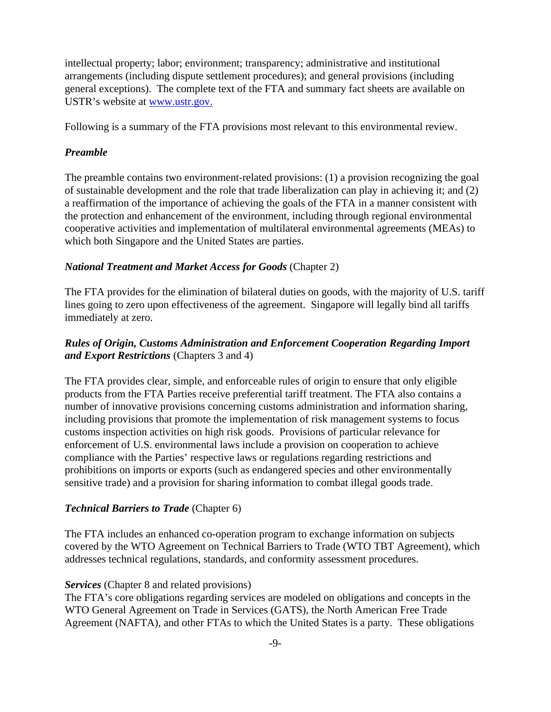intellectual property; labor; environment; transparency; administrative and institutional arrangements (including dispute settlement procedures); and general provisions (including general exceptions). The complete text of the FTA and summary fact sheets are available on USTR's website at www.ustr.gov.

Following is a summary of the FTA provisions most relevant to this environmental review.

### *Preamble*

The preamble contains two environment-related provisions: (1) a provision recognizing the goal of sustainable development and the role that trade liberalization can play in achieving it; and (2) a reaffirmation of the importance of achieving the goals of the FTA in a manner consistent with the protection and enhancement of the environment, including through regional environmental cooperative activities and implementation of multilateral environmental agreements (MEAs) to which both Singapore and the United States are parties.

### *National Treatment and Market Access for Goods* (Chapter 2)

The FTA provides for the elimination of bilateral duties on goods, with the majority of U.S. tariff lines going to zero upon effectiveness of the agreement. Singapore will legally bind all tariffs immediately at zero.

# *Rules of Origin, Customs Administration and Enforcement Cooperation Regarding Import and Export Restrictions* (Chapters 3 and 4)

The FTA provides clear, simple, and enforceable rules of origin to ensure that only eligible products from the FTA Parties receive preferential tariff treatment. The FTA also contains a number of innovative provisions concerning customs administration and information sharing, including provisions that promote the implementation of risk management systems to focus customs inspection activities on high risk goods. Provisions of particular relevance for enforcement of U.S. environmental laws include a provision on cooperation to achieve compliance with the Parties' respective laws or regulations regarding restrictions and prohibitions on imports or exports (such as endangered species and other environmentally sensitive trade) and a provision for sharing information to combat illegal goods trade.

### *Technical Barriers to Trade* (Chapter 6)

The FTA includes an enhanced co-operation program to exchange information on subjects covered by the WTO Agreement on Technical Barriers to Trade (WTO TBT Agreement), which addresses technical regulations, standards, and conformity assessment procedures.

### *Services* (Chapter 8 and related provisions)

The FTA's core obligations regarding services are modeled on obligations and concepts in the WTO General Agreement on Trade in Services (GATS), the North American Free Trade Agreement (NAFTA), and other FTAs to which the United States is a party. These obligations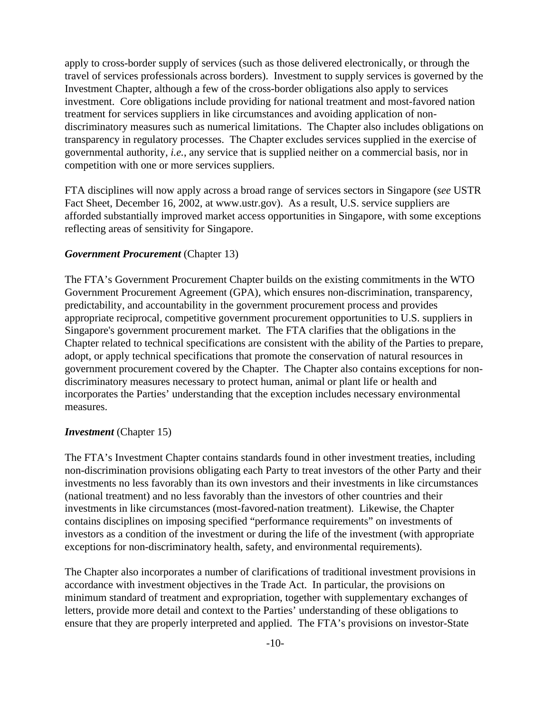apply to cross-border supply of services (such as those delivered electronically, or through the travel of services professionals across borders). Investment to supply services is governed by the Investment Chapter, although a few of the cross-border obligations also apply to services investment. Core obligations include providing for national treatment and most-favored nation treatment for services suppliers in like circumstances and avoiding application of nondiscriminatory measures such as numerical limitations. The Chapter also includes obligations on transparency in regulatory processes. The Chapter excludes services supplied in the exercise of governmental authority, *i.e.*, any service that is supplied neither on a commercial basis, nor in competition with one or more services suppliers.

FTA disciplines will now apply across a broad range of services sectors in Singapore (*see* USTR Fact Sheet, December 16, 2002, at www.ustr.gov). As a result, U.S. service suppliers are afforded substantially improved market access opportunities in Singapore, with some exceptions reflecting areas of sensitivity for Singapore.

#### *Government Procurement* (Chapter 13)

The FTA's Government Procurement Chapter builds on the existing commitments in the WTO Government Procurement Agreement (GPA), which ensures non-discrimination, transparency, predictability, and accountability in the government procurement process and provides appropriate reciprocal, competitive government procurement opportunities to U.S. suppliers in Singapore's government procurement market. The FTA clarifies that the obligations in the Chapter related to technical specifications are consistent with the ability of the Parties to prepare, adopt, or apply technical specifications that promote the conservation of natural resources in government procurement covered by the Chapter. The Chapter also contains exceptions for nondiscriminatory measures necessary to protect human, animal or plant life or health and incorporates the Parties' understanding that the exception includes necessary environmental measures.

#### *Investment* (Chapter 15)

The FTA's Investment Chapter contains standards found in other investment treaties, including non-discrimination provisions obligating each Party to treat investors of the other Party and their investments no less favorably than its own investors and their investments in like circumstances (national treatment) and no less favorably than the investors of other countries and their investments in like circumstances (most-favored-nation treatment). Likewise, the Chapter contains disciplines on imposing specified "performance requirements" on investments of investors as a condition of the investment or during the life of the investment (with appropriate exceptions for non-discriminatory health, safety, and environmental requirements).

The Chapter also incorporates a number of clarifications of traditional investment provisions in accordance with investment objectives in the Trade Act. In particular, the provisions on minimum standard of treatment and expropriation, together with supplementary exchanges of letters, provide more detail and context to the Parties' understanding of these obligations to ensure that they are properly interpreted and applied. The FTA's provisions on investor-State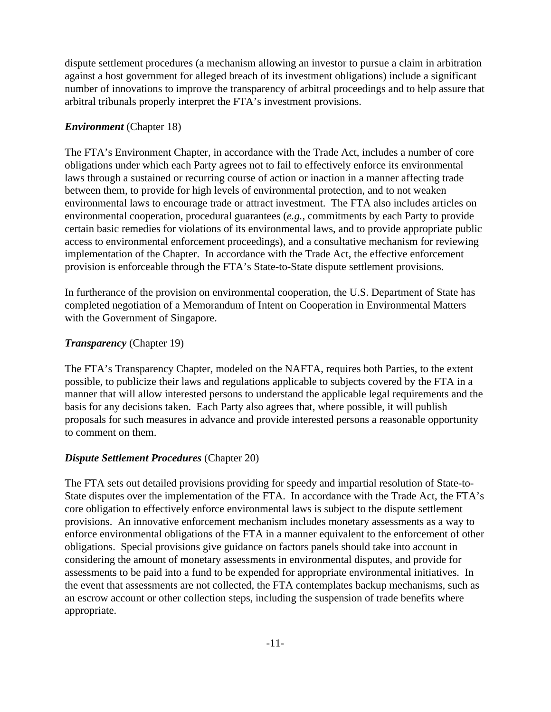dispute settlement procedures (a mechanism allowing an investor to pursue a claim in arbitration against a host government for alleged breach of its investment obligations) include a significant number of innovations to improve the transparency of arbitral proceedings and to help assure that arbitral tribunals properly interpret the FTA's investment provisions.

# *Environment* (Chapter 18)

The FTA's Environment Chapter, in accordance with the Trade Act, includes a number of core obligations under which each Party agrees not to fail to effectively enforce its environmental laws through a sustained or recurring course of action or inaction in a manner affecting trade between them, to provide for high levels of environmental protection, and to not weaken environmental laws to encourage trade or attract investment. The FTA also includes articles on environmental cooperation, procedural guarantees (*e.g.*, commitments by each Party to provide certain basic remedies for violations of its environmental laws, and to provide appropriate public access to environmental enforcement proceedings), and a consultative mechanism for reviewing implementation of the Chapter. In accordance with the Trade Act, the effective enforcement provision is enforceable through the FTA's State-to-State dispute settlement provisions.

In furtherance of the provision on environmental cooperation, the U.S. Department of State has completed negotiation of a Memorandum of Intent on Cooperation in Environmental Matters with the Government of Singapore.

# *Transparency* (Chapter 19)

The FTA's Transparency Chapter, modeled on the NAFTA, requires both Parties, to the extent possible, to publicize their laws and regulations applicable to subjects covered by the FTA in a manner that will allow interested persons to understand the applicable legal requirements and the basis for any decisions taken. Each Party also agrees that, where possible, it will publish proposals for such measures in advance and provide interested persons a reasonable opportunity to comment on them.

# *Dispute Settlement Procedures* (Chapter 20)

The FTA sets out detailed provisions providing for speedy and impartial resolution of State-to-State disputes over the implementation of the FTA. In accordance with the Trade Act, the FTA's core obligation to effectively enforce environmental laws is subject to the dispute settlement provisions. An innovative enforcement mechanism includes monetary assessments as a way to enforce environmental obligations of the FTA in a manner equivalent to the enforcement of other obligations. Special provisions give guidance on factors panels should take into account in considering the amount of monetary assessments in environmental disputes, and provide for assessments to be paid into a fund to be expended for appropriate environmental initiatives. In the event that assessments are not collected, the FTA contemplates backup mechanisms, such as an escrow account or other collection steps, including the suspension of trade benefits where appropriate.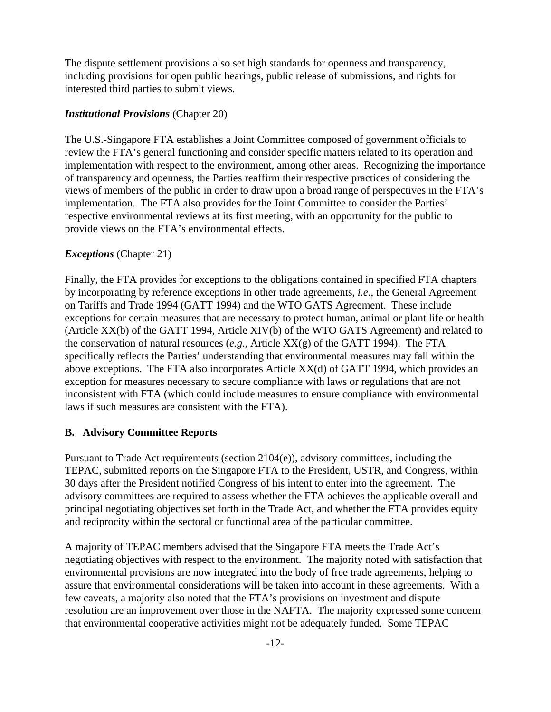The dispute settlement provisions also set high standards for openness and transparency, including provisions for open public hearings, public release of submissions, and rights for interested third parties to submit views.

# *Institutional Provisions* (Chapter 20)

The U.S.-Singapore FTA establishes a Joint Committee composed of government officials to review the FTA's general functioning and consider specific matters related to its operation and implementation with respect to the environment, among other areas. Recognizing the importance of transparency and openness, the Parties reaffirm their respective practices of considering the views of members of the public in order to draw upon a broad range of perspectives in the FTA's implementation. The FTA also provides for the Joint Committee to consider the Parties' respective environmental reviews at its first meeting, with an opportunity for the public to provide views on the FTA's environmental effects.

# *Exceptions* (Chapter 21)

Finally, the FTA provides for exceptions to the obligations contained in specified FTA chapters by incorporating by reference exceptions in other trade agreements, *i.e.*, the General Agreement on Tariffs and Trade 1994 (GATT 1994) and the WTO GATS Agreement. These include exceptions for certain measures that are necessary to protect human, animal or plant life or health (Article XX(b) of the GATT 1994, Article XIV(b) of the WTO GATS Agreement) and related to the conservation of natural resources (*e.g.*, Article XX(g) of the GATT 1994). The FTA specifically reflects the Parties' understanding that environmental measures may fall within the above exceptions. The FTA also incorporates Article XX(d) of GATT 1994, which provides an exception for measures necessary to secure compliance with laws or regulations that are not inconsistent with FTA (which could include measures to ensure compliance with environmental laws if such measures are consistent with the FTA).

# **B. Advisory Committee Reports**

Pursuant to Trade Act requirements (section 2104(e)), advisory committees, including the TEPAC, submitted reports on the Singapore FTA to the President, USTR, and Congress, within 30 days after the President notified Congress of his intent to enter into the agreement. The advisory committees are required to assess whether the FTA achieves the applicable overall and principal negotiating objectives set forth in the Trade Act, and whether the FTA provides equity and reciprocity within the sectoral or functional area of the particular committee.

A majority of TEPAC members advised that the Singapore FTA meets the Trade Act's negotiating objectives with respect to the environment. The majority noted with satisfaction that environmental provisions are now integrated into the body of free trade agreements, helping to assure that environmental considerations will be taken into account in these agreements. With a few caveats, a majority also noted that the FTA's provisions on investment and dispute resolution are an improvement over those in the NAFTA. The majority expressed some concern that environmental cooperative activities might not be adequately funded. Some TEPAC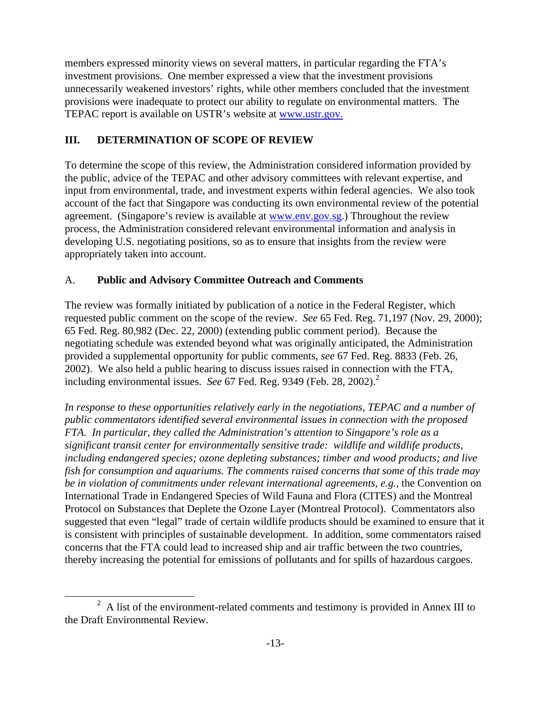members expressed minority views on several matters, in particular regarding the FTA's investment provisions. One member expressed a view that the investment provisions unnecessarily weakened investors' rights, while other members concluded that the investment provisions were inadequate to protect our ability to regulate on environmental matters. The TEPAC report is available on USTR's website at www.ustr.gov.

# **III. DETERMINATION OF SCOPE OF REVIEW**

To determine the scope of this review, the Administration considered information provided by the public, advice of the TEPAC and other advisory committees with relevant expertise, and input from environmental, trade, and investment experts within federal agencies. We also took account of the fact that Singapore was conducting its own environmental review of the potential agreement. (Singapore's review is available at www.env.gov.sg.) Throughout the review process, the Administration considered relevant environmental information and analysis in developing U.S. negotiating positions, so as to ensure that insights from the review were appropriately taken into account.

# A. **Public and Advisory Committee Outreach and Comments**

The review was formally initiated by publication of a notice in the Federal Register, which requested public comment on the scope of the review. *See* 65 Fed. Reg. 71,197 (Nov. 29, 2000); 65 Fed. Reg. 80,982 (Dec. 22, 2000) (extending public comment period). Because the negotiating schedule was extended beyond what was originally anticipated, the Administration provided a supplemental opportunity for public comments, *see* 67 Fed. Reg. 8833 (Feb. 26, 2002). We also held a public hearing to discuss issues raised in connection with the FTA, including environmental issues. See 67 Fed. Reg. 9349 (Feb. 28, 2002).<sup>2</sup>

*In response to these opportunities relatively early in the negotiations, TEPAC and a number of public commentators identified several environmental issues in connection with the proposed FTA. In particular, they called the Administration's attention to Singapore's role as a significant transit center for environmentally sensitive trade: wildlife and wildlife products, including endangered species; ozone depleting substances; timber and wood products; and live fish for consumption and aquariums. The comments raised concerns that some of this trade may be in violation of commitments under relevant international agreements, e.g.*, the Convention on International Trade in Endangered Species of Wild Fauna and Flora (CITES) and the Montreal Protocol on Substances that Deplete the Ozone Layer (Montreal Protocol). Commentators also suggested that even "legal" trade of certain wildlife products should be examined to ensure that it is consistent with principles of sustainable development. In addition, some commentators raised concerns that the FTA could lead to increased ship and air traffic between the two countries, thereby increasing the potential for emissions of pollutants and for spills of hazardous cargoes.

 $\overline{a}$ 

<sup>2</sup> A list of the environment-related comments and testimony is provided in Annex III to the Draft Environmental Review.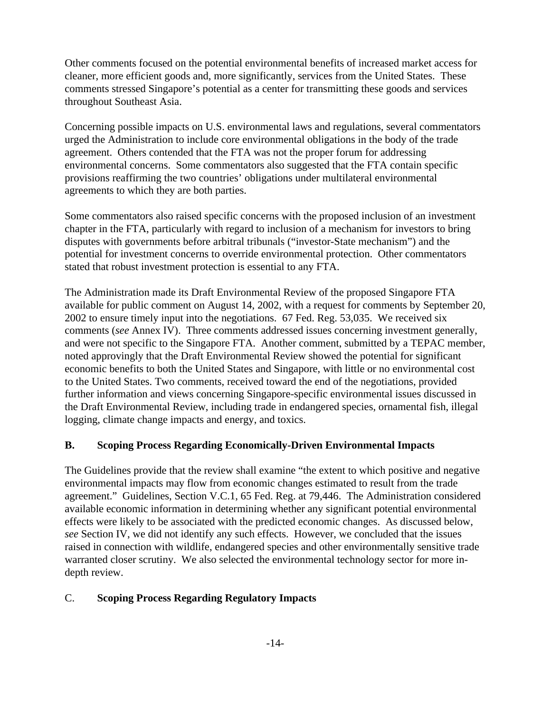Other comments focused on the potential environmental benefits of increased market access for cleaner, more efficient goods and, more significantly, services from the United States. These comments stressed Singapore's potential as a center for transmitting these goods and services throughout Southeast Asia.

Concerning possible impacts on U.S. environmental laws and regulations, several commentators urged the Administration to include core environmental obligations in the body of the trade agreement. Others contended that the FTA was not the proper forum for addressing environmental concerns. Some commentators also suggested that the FTA contain specific provisions reaffirming the two countries' obligations under multilateral environmental agreements to which they are both parties.

Some commentators also raised specific concerns with the proposed inclusion of an investment chapter in the FTA, particularly with regard to inclusion of a mechanism for investors to bring disputes with governments before arbitral tribunals ("investor-State mechanism") and the potential for investment concerns to override environmental protection. Other commentators stated that robust investment protection is essential to any FTA.

The Administration made its Draft Environmental Review of the proposed Singapore FTA available for public comment on August 14, 2002, with a request for comments by September 20, 2002 to ensure timely input into the negotiations. 67 Fed. Reg. 53,035. We received six comments (*see* Annex IV). Three comments addressed issues concerning investment generally, and were not specific to the Singapore FTA. Another comment, submitted by a TEPAC member, noted approvingly that the Draft Environmental Review showed the potential for significant economic benefits to both the United States and Singapore, with little or no environmental cost to the United States. Two comments, received toward the end of the negotiations, provided further information and views concerning Singapore-specific environmental issues discussed in the Draft Environmental Review, including trade in endangered species, ornamental fish, illegal logging, climate change impacts and energy, and toxics.

# **B. Scoping Process Regarding Economically-Driven Environmental Impacts**

The Guidelines provide that the review shall examine "the extent to which positive and negative environmental impacts may flow from economic changes estimated to result from the trade agreement." Guidelines, Section V.C.1, 65 Fed. Reg. at 79,446. The Administration considered available economic information in determining whether any significant potential environmental effects were likely to be associated with the predicted economic changes. As discussed below, *see* Section IV, we did not identify any such effects. However, we concluded that the issues raised in connection with wildlife, endangered species and other environmentally sensitive trade warranted closer scrutiny. We also selected the environmental technology sector for more indepth review.

# C. **Scoping Process Regarding Regulatory Impacts**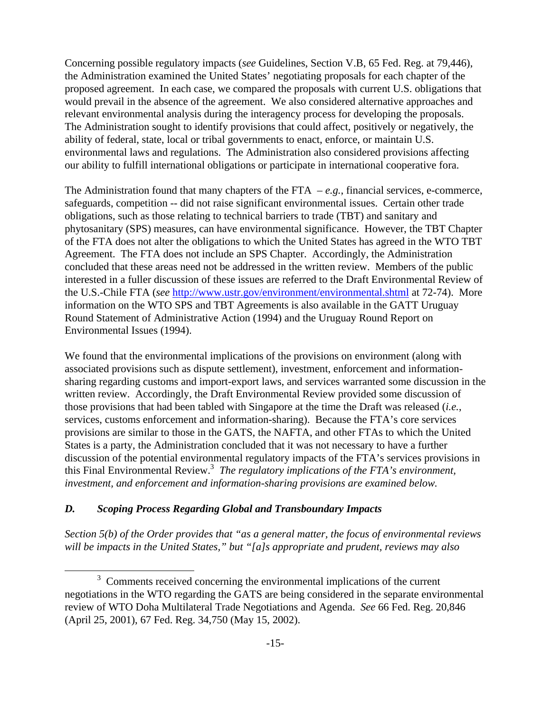Concerning possible regulatory impacts (*see* Guidelines, Section V.B, 65 Fed. Reg. at 79,446), the Administration examined the United States' negotiating proposals for each chapter of the proposed agreement. In each case, we compared the proposals with current U.S. obligations that would prevail in the absence of the agreement. We also considered alternative approaches and relevant environmental analysis during the interagency process for developing the proposals. The Administration sought to identify provisions that could affect, positively or negatively, the ability of federal, state, local or tribal governments to enact, enforce, or maintain U.S. environmental laws and regulations. The Administration also considered provisions affecting our ability to fulfill international obligations or participate in international cooperative fora.

The Administration found that many chapters of the FTA  $-e.g.,$  financial services, e-commerce, safeguards, competition -- did not raise significant environmental issues. Certain other trade obligations, such as those relating to technical barriers to trade (TBT) and sanitary and phytosanitary (SPS) measures, can have environmental significance. However, the TBT Chapter of the FTA does not alter the obligations to which the United States has agreed in the WTO TBT Agreement. The FTA does not include an SPS Chapter. Accordingly, the Administration concluded that these areas need not be addressed in the written review. Members of the public interested in a fuller discussion of these issues are referred to the Draft Environmental Review of the U.S.-Chile FTA (*see* http://www.ustr.gov/environment/environmental.shtml at 72-74). More information on the WTO SPS and TBT Agreements is also available in the GATT Uruguay Round Statement of Administrative Action (1994) and the Uruguay Round Report on Environmental Issues (1994).

We found that the environmental implications of the provisions on environment (along with associated provisions such as dispute settlement), investment, enforcement and informationsharing regarding customs and import-export laws, and services warranted some discussion in the written review. Accordingly, the Draft Environmental Review provided some discussion of those provisions that had been tabled with Singapore at the time the Draft was released (*i.e.*, services, customs enforcement and information-sharing). Because the FTA's core services provisions are similar to those in the GATS, the NAFTA, and other FTAs to which the United States is a party, the Administration concluded that it was not necessary to have a further discussion of the potential environmental regulatory impacts of the FTA's services provisions in this Final Environmental Review.<sup>3</sup> The regulatory implications of the FTA's environment, *investment, and enforcement and information-sharing provisions are examined below.*

# *D. Scoping Process Regarding Global and Transboundary Impacts*

 $\overline{a}$ 

*Section 5(b) of the Order provides that "as a general matter, the focus of environmental reviews will be impacts in the United States," but "[a]s appropriate and prudent, reviews may also* 

 $3$  Comments received concerning the environmental implications of the current negotiations in the WTO regarding the GATS are being considered in the separate environmental review of WTO Doha Multilateral Trade Negotiations and Agenda. *See* 66 Fed. Reg. 20,846 (April 25, 2001), 67 Fed. Reg. 34,750 (May 15, 2002).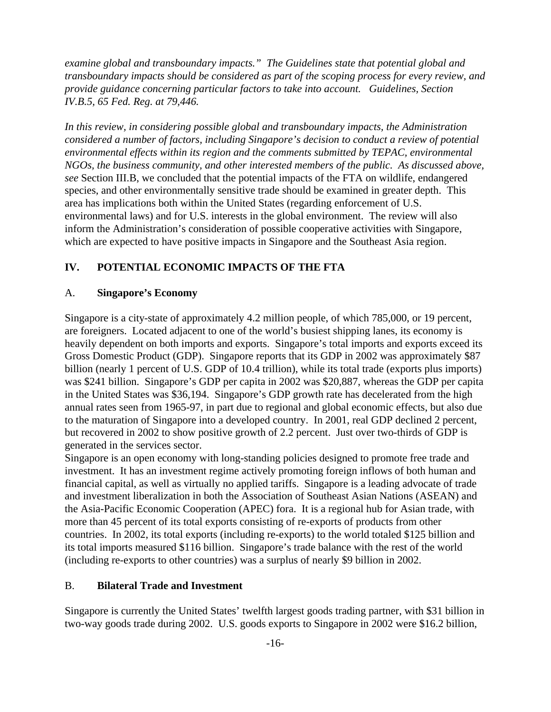*examine global and transboundary impacts." The Guidelines state that potential global and transboundary impacts should be considered as part of the scoping process for every review, and provide guidance concerning particular factors to take into account. Guidelines, Section IV.B.5, 65 Fed. Reg. at 79,446.* 

*In this review, in considering possible global and transboundary impacts, the Administration considered a number of factors, including Singapore's decision to conduct a review of potential environmental effects within its region and the comments submitted by TEPAC, environmental NGOs, the business community, and other interested members of the public. As discussed above, see* Section III.B, we concluded that the potential impacts of the FTA on wildlife, endangered species, and other environmentally sensitive trade should be examined in greater depth. This area has implications both within the United States (regarding enforcement of U.S. environmental laws) and for U.S. interests in the global environment. The review will also inform the Administration's consideration of possible cooperative activities with Singapore, which are expected to have positive impacts in Singapore and the Southeast Asia region.

# **IV. POTENTIAL ECONOMIC IMPACTS OF THE FTA**

### A. **Singapore's Economy**

Singapore is a city-state of approximately 4.2 million people, of which 785,000, or 19 percent, are foreigners. Located adjacent to one of the world's busiest shipping lanes, its economy is heavily dependent on both imports and exports. Singapore's total imports and exports exceed its Gross Domestic Product (GDP). Singapore reports that its GDP in 2002 was approximately \$87 billion (nearly 1 percent of U.S. GDP of 10.4 trillion), while its total trade (exports plus imports) was \$241 billion. Singapore's GDP per capita in 2002 was \$20,887, whereas the GDP per capita in the United States was \$36,194. Singapore's GDP growth rate has decelerated from the high annual rates seen from 1965-97, in part due to regional and global economic effects, but also due to the maturation of Singapore into a developed country. In 2001, real GDP declined 2 percent, but recovered in 2002 to show positive growth of 2.2 percent. Just over two-thirds of GDP is generated in the services sector.

Singapore is an open economy with long-standing policies designed to promote free trade and investment. It has an investment regime actively promoting foreign inflows of both human and financial capital, as well as virtually no applied tariffs. Singapore is a leading advocate of trade and investment liberalization in both the Association of Southeast Asian Nations (ASEAN) and the Asia-Pacific Economic Cooperation (APEC) fora. It is a regional hub for Asian trade, with more than 45 percent of its total exports consisting of re-exports of products from other countries. In 2002, its total exports (including re-exports) to the world totaled \$125 billion and its total imports measured \$116 billion. Singapore's trade balance with the rest of the world (including re-exports to other countries) was a surplus of nearly \$9 billion in 2002.

### B. **Bilateral Trade and Investment**

Singapore is currently the United States' twelfth largest goods trading partner, with \$31 billion in two-way goods trade during 2002. U.S. goods exports to Singapore in 2002 were \$16.2 billion,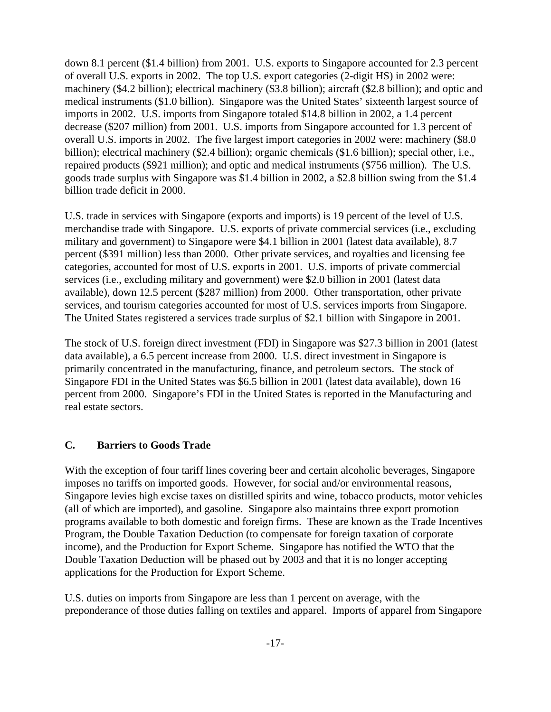down 8.1 percent (\$1.4 billion) from 2001. U.S. exports to Singapore accounted for 2.3 percent of overall U.S. exports in 2002. The top U.S. export categories (2-digit HS) in 2002 were: machinery (\$4.2 billion); electrical machinery (\$3.8 billion); aircraft (\$2.8 billion); and optic and medical instruments (\$1.0 billion). Singapore was the United States' sixteenth largest source of imports in 2002. U.S. imports from Singapore totaled \$14.8 billion in 2002, a 1.4 percent decrease (\$207 million) from 2001. U.S. imports from Singapore accounted for 1.3 percent of overall U.S. imports in 2002. The five largest import categories in 2002 were: machinery (\$8.0 billion); electrical machinery (\$2.4 billion); organic chemicals (\$1.6 billion); special other, i.e., repaired products (\$921 million); and optic and medical instruments (\$756 million). The U.S. goods trade surplus with Singapore was \$1.4 billion in 2002, a \$2.8 billion swing from the \$1.4 billion trade deficit in 2000.

U.S. trade in services with Singapore (exports and imports) is 19 percent of the level of U.S. merchandise trade with Singapore. U.S. exports of private commercial services (i.e., excluding military and government) to Singapore were \$4.1 billion in 2001 (latest data available), 8.7 percent (\$391 million) less than 2000. Other private services, and royalties and licensing fee categories, accounted for most of U.S. exports in 2001. U.S. imports of private commercial services (i.e., excluding military and government) were \$2.0 billion in 2001 (latest data available), down 12.5 percent (\$287 million) from 2000. Other transportation, other private services, and tourism categories accounted for most of U.S. services imports from Singapore. The United States registered a services trade surplus of \$2.1 billion with Singapore in 2001.

The stock of U.S. foreign direct investment (FDI) in Singapore was \$27.3 billion in 2001 (latest data available), a 6.5 percent increase from 2000. U.S. direct investment in Singapore is primarily concentrated in the manufacturing, finance, and petroleum sectors. The stock of Singapore FDI in the United States was \$6.5 billion in 2001 (latest data available), down 16 percent from 2000. Singapore's FDI in the United States is reported in the Manufacturing and real estate sectors.

# **C. Barriers to Goods Trade**

With the exception of four tariff lines covering beer and certain alcoholic beverages, Singapore imposes no tariffs on imported goods. However, for social and/or environmental reasons, Singapore levies high excise taxes on distilled spirits and wine, tobacco products, motor vehicles (all of which are imported), and gasoline. Singapore also maintains three export promotion programs available to both domestic and foreign firms. These are known as the Trade Incentives Program, the Double Taxation Deduction (to compensate for foreign taxation of corporate income), and the Production for Export Scheme. Singapore has notified the WTO that the Double Taxation Deduction will be phased out by 2003 and that it is no longer accepting applications for the Production for Export Scheme.

U.S. duties on imports from Singapore are less than 1 percent on average, with the preponderance of those duties falling on textiles and apparel. Imports of apparel from Singapore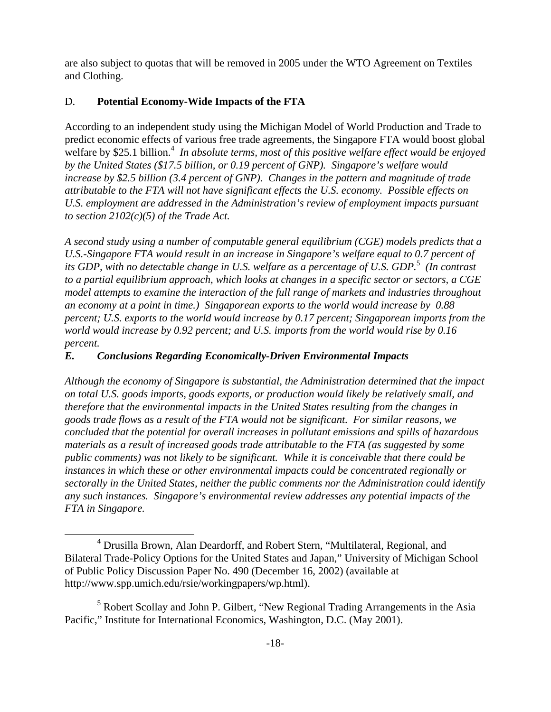are also subject to quotas that will be removed in 2005 under the WTO Agreement on Textiles and Clothing.

# D. **Potential Economy-Wide Impacts of the FTA**

-

According to an independent study using the Michigan Model of World Production and Trade to predict economic effects of various free trade agreements, the Singapore FTA would boost global welfare by \$25.1 billion.<sup>4</sup> In absolute terms, most of this positive welfare effect would be enjoyed *by the United States (\$17.5 billion, or 0.19 percent of GNP). Singapore's welfare would increase by \$2.5 billion (3.4 percent of GNP). Changes in the pattern and magnitude of trade attributable to the FTA will not have significant effects the U.S. economy. Possible effects on U.S. employment are addressed in the Administration's review of employment impacts pursuant to section 2102(c)(5) of the Trade Act.* 

*A second study using a number of computable general equilibrium (CGE) models predicts that a U.S.-Singapore FTA would result in an increase in Singapore's welfare equal to 0.7 percent of its GDP, with no detectable change in U.S. welfare as a percentage of U.S. GDP.*<sup>5</sup>  *(In contrast to a partial equilibrium approach, which looks at changes in a specific sector or sectors, a CGE model attempts to examine the interaction of the full range of markets and industries throughout an economy at a point in time.) Singaporean exports to the world would increase by 0.88 percent; U.S. exports to the world would increase by 0.17 percent; Singaporean imports from the world would increase by 0.92 percent; and U.S. imports from the world would rise by 0.16 percent.*

# *E. Conclusions Regarding Economically-Driven Environmental Impacts*

*Although the economy of Singapore is substantial, the Administration determined that the impact on total U.S. goods imports, goods exports, or production would likely be relatively small, and therefore that the environmental impacts in the United States resulting from the changes in goods trade flows as a result of the FTA would not be significant. For similar reasons, we concluded that the potential for overall increases in pollutant emissions and spills of hazardous materials as a result of increased goods trade attributable to the FTA (as suggested by some public comments) was not likely to be significant. While it is conceivable that there could be instances in which these or other environmental impacts could be concentrated regionally or sectorally in the United States, neither the public comments nor the Administration could identify any such instances. Singapore's environmental review addresses any potential impacts of the FTA in Singapore.*

<sup>&</sup>lt;sup>4</sup> Drusilla Brown, Alan Deardorff, and Robert Stern, "Multilateral, Regional, and Bilateral Trade-Policy Options for the United States and Japan," University of Michigan School of Public Policy Discussion Paper No. 490 (December 16, 2002) (available at http://www.spp.umich.edu/rsie/workingpapers/wp.html).

<sup>&</sup>lt;sup>5</sup> Robert Scollay and John P. Gilbert, "New Regional Trading Arrangements in the Asia Pacific," Institute for International Economics, Washington, D.C. (May 2001).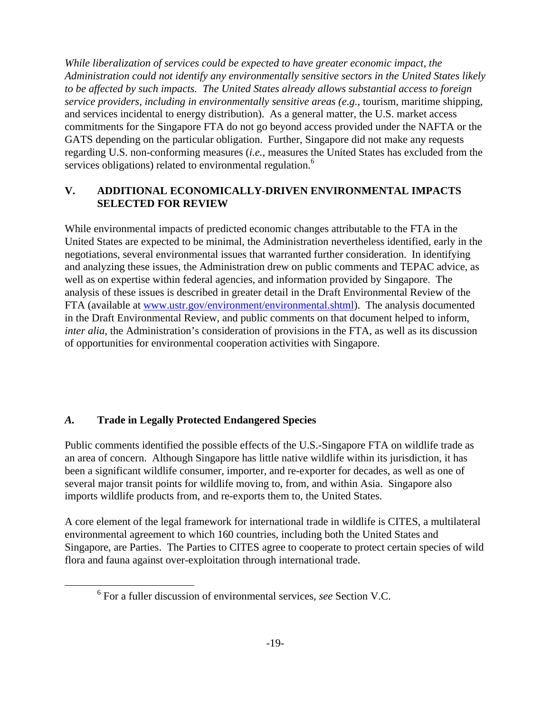*While liberalization of services could be expected to have greater economic impact, the Administration could not identify any environmentally sensitive sectors in the United States likely to be affected by such impacts. The United States already allows substantial access to foreign service providers, including in environmentally sensitive areas (e.g.*, tourism, maritime shipping, and services incidental to energy distribution). As a general matter, the U.S. market access commitments for the Singapore FTA do not go beyond access provided under the NAFTA or the GATS depending on the particular obligation. Further, Singapore did not make any requests regarding U.S. non-conforming measures (*i.e.*, measures the United States has excluded from the services obligations) related to environmental regulation.<sup>6</sup>

# **V. ADDITIONAL ECONOMICALLY-DRIVEN ENVIRONMENTAL IMPACTS SELECTED FOR REVIEW**

While environmental impacts of predicted economic changes attributable to the FTA in the United States are expected to be minimal, the Administration nevertheless identified, early in the negotiations, several environmental issues that warranted further consideration. In identifying and analyzing these issues, the Administration drew on public comments and TEPAC advice, as well as on expertise within federal agencies, and information provided by Singapore. The analysis of these issues is described in greater detail in the Draft Environmental Review of the FTA (available at www.ustr.gov/environment/environmental.shtml). The analysis documented in the Draft Environmental Review, and public comments on that document helped to inform, *inter alia*, the Administration's consideration of provisions in the FTA, as well as its discussion of opportunities for environmental cooperation activities with Singapore.

# *A.* **Trade in Legally Protected Endangered Species**

-

Public comments identified the possible effects of the U.S.-Singapore FTA on wildlife trade as an area of concern. Although Singapore has little native wildlife within its jurisdiction, it has been a significant wildlife consumer, importer, and re-exporter for decades, as well as one of several major transit points for wildlife moving to, from, and within Asia. Singapore also imports wildlife products from, and re-exports them to, the United States.

A core element of the legal framework for international trade in wildlife is CITES, a multilateral environmental agreement to which 160 countries, including both the United States and Singapore, are Parties. The Parties to CITES agree to cooperate to protect certain species of wild flora and fauna against over-exploitation through international trade.

<sup>6</sup> For a fuller discussion of environmental services, *see* Section V.C.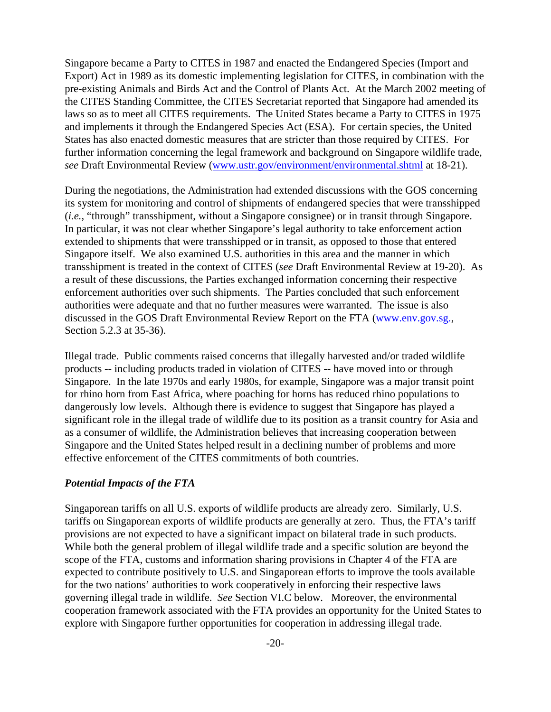Singapore became a Party to CITES in 1987 and enacted the Endangered Species (Import and Export) Act in 1989 as its domestic implementing legislation for CITES, in combination with the pre-existing Animals and Birds Act and the Control of Plants Act. At the March 2002 meeting of the CITES Standing Committee, the CITES Secretariat reported that Singapore had amended its laws so as to meet all CITES requirements. The United States became a Party to CITES in 1975 and implements it through the Endangered Species Act (ESA). For certain species, the United States has also enacted domestic measures that are stricter than those required by CITES. For further information concerning the legal framework and background on Singapore wildlife trade, *see* Draft Environmental Review (www.ustr.gov/environment/environmental.shtml at 18-21).

During the negotiations, the Administration had extended discussions with the GOS concerning its system for monitoring and control of shipments of endangered species that were transshipped (*i.e.*, "through" transshipment, without a Singapore consignee) or in transit through Singapore. In particular, it was not clear whether Singapore's legal authority to take enforcement action extended to shipments that were transshipped or in transit, as opposed to those that entered Singapore itself. We also examined U.S. authorities in this area and the manner in which transshipment is treated in the context of CITES (*see* Draft Environmental Review at 19-20). As a result of these discussions, the Parties exchanged information concerning their respective enforcement authorities over such shipments. The Parties concluded that such enforcement authorities were adequate and that no further measures were warranted. The issue is also discussed in the GOS Draft Environmental Review Report on the FTA (www.env.gov.sg., Section 5.2.3 at 35-36).

Illegal trade. Public comments raised concerns that illegally harvested and/or traded wildlife products -- including products traded in violation of CITES -- have moved into or through Singapore. In the late 1970s and early 1980s, for example, Singapore was a major transit point for rhino horn from East Africa, where poaching for horns has reduced rhino populations to dangerously low levels. Although there is evidence to suggest that Singapore has played a significant role in the illegal trade of wildlife due to its position as a transit country for Asia and as a consumer of wildlife, the Administration believes that increasing cooperation between Singapore and the United States helped result in a declining number of problems and more effective enforcement of the CITES commitments of both countries.

### *Potential Impacts of the FTA*

Singaporean tariffs on all U.S. exports of wildlife products are already zero. Similarly, U.S. tariffs on Singaporean exports of wildlife products are generally at zero. Thus, the FTA's tariff provisions are not expected to have a significant impact on bilateral trade in such products. While both the general problem of illegal wildlife trade and a specific solution are beyond the scope of the FTA, customs and information sharing provisions in Chapter 4 of the FTA are expected to contribute positively to U.S. and Singaporean efforts to improve the tools available for the two nations' authorities to work cooperatively in enforcing their respective laws governing illegal trade in wildlife. *See* Section VI.C below. Moreover, the environmental cooperation framework associated with the FTA provides an opportunity for the United States to explore with Singapore further opportunities for cooperation in addressing illegal trade.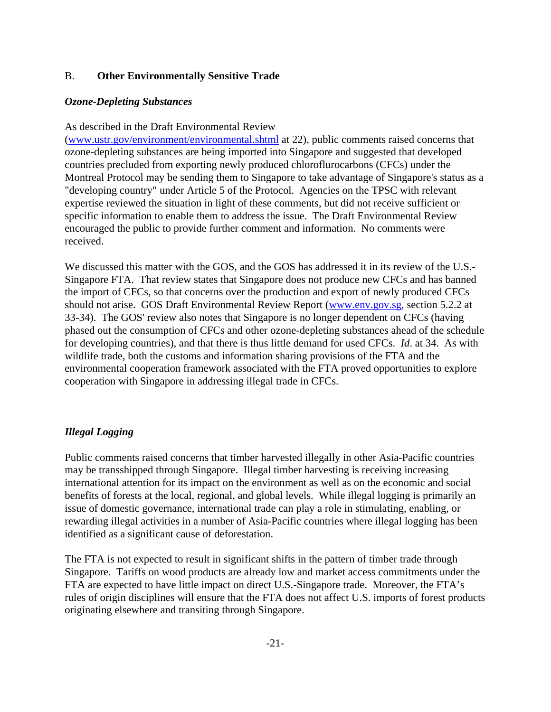### B. **Other Environmentally Sensitive Trade**

### *Ozone-Depleting Substances*

### As described in the Draft Environmental Review

(www.ustr.gov/environment/environmental.shtml at 22), public comments raised concerns that ozone-depleting substances are being imported into Singapore and suggested that developed countries precluded from exporting newly produced chloroflurocarbons (CFCs) under the Montreal Protocol may be sending them to Singapore to take advantage of Singapore's status as a "developing country" under Article 5 of the Protocol. Agencies on the TPSC with relevant expertise reviewed the situation in light of these comments, but did not receive sufficient or specific information to enable them to address the issue. The Draft Environmental Review encouraged the public to provide further comment and information. No comments were received.

We discussed this matter with the GOS, and the GOS has addressed it in its review of the U.S.- Singapore FTA. That review states that Singapore does not produce new CFCs and has banned the import of CFCs, so that concerns over the production and export of newly produced CFCs should not arise. GOS Draft Environmental Review Report (www.env.gov.sg, section 5.2.2 at 33-34). The GOS' review also notes that Singapore is no longer dependent on CFCs (having phased out the consumption of CFCs and other ozone-depleting substances ahead of the schedule for developing countries), and that there is thus little demand for used CFCs. *Id*. at 34. As with wildlife trade, both the customs and information sharing provisions of the FTA and the environmental cooperation framework associated with the FTA proved opportunities to explore cooperation with Singapore in addressing illegal trade in CFCs.

# *Illegal Logging*

Public comments raised concerns that timber harvested illegally in other Asia-Pacific countries may be transshipped through Singapore. Illegal timber harvesting is receiving increasing international attention for its impact on the environment as well as on the economic and social benefits of forests at the local, regional, and global levels. While illegal logging is primarily an issue of domestic governance, international trade can play a role in stimulating, enabling, or rewarding illegal activities in a number of Asia-Pacific countries where illegal logging has been identified as a significant cause of deforestation.

The FTA is not expected to result in significant shifts in the pattern of timber trade through Singapore. Tariffs on wood products are already low and market access commitments under the FTA are expected to have little impact on direct U.S.-Singapore trade. Moreover, the FTA's rules of origin disciplines will ensure that the FTA does not affect U.S. imports of forest products originating elsewhere and transiting through Singapore.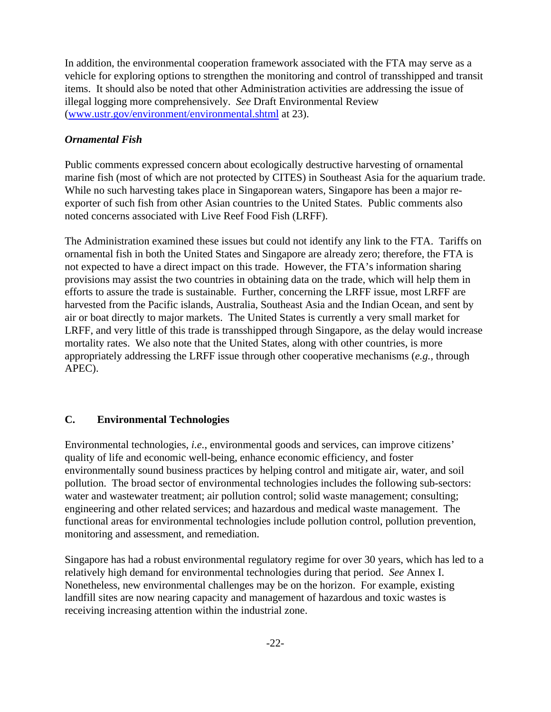In addition, the environmental cooperation framework associated with the FTA may serve as a vehicle for exploring options to strengthen the monitoring and control of transshipped and transit items. It should also be noted that other Administration activities are addressing the issue of illegal logging more comprehensively. *See* Draft Environmental Review (www.ustr.gov/environment/environmental.shtml at 23).

# *Ornamental Fish*

Public comments expressed concern about ecologically destructive harvesting of ornamental marine fish (most of which are not protected by CITES) in Southeast Asia for the aquarium trade. While no such harvesting takes place in Singaporean waters, Singapore has been a major reexporter of such fish from other Asian countries to the United States. Public comments also noted concerns associated with Live Reef Food Fish (LRFF).

The Administration examined these issues but could not identify any link to the FTA. Tariffs on ornamental fish in both the United States and Singapore are already zero; therefore, the FTA is not expected to have a direct impact on this trade. However, the FTA's information sharing provisions may assist the two countries in obtaining data on the trade, which will help them in efforts to assure the trade is sustainable. Further, concerning the LRFF issue, most LRFF are harvested from the Pacific islands, Australia, Southeast Asia and the Indian Ocean, and sent by air or boat directly to major markets. The United States is currently a very small market for LRFF, and very little of this trade is transshipped through Singapore, as the delay would increase mortality rates. We also note that the United States, along with other countries, is more appropriately addressing the LRFF issue through other cooperative mechanisms (*e.g.*, through APEC).

# **C. Environmental Technologies**

Environmental technologies, *i.e.*, environmental goods and services, can improve citizens' quality of life and economic well-being, enhance economic efficiency, and foster environmentally sound business practices by helping control and mitigate air, water, and soil pollution. The broad sector of environmental technologies includes the following sub-sectors: water and wastewater treatment; air pollution control; solid waste management; consulting; engineering and other related services; and hazardous and medical waste management. The functional areas for environmental technologies include pollution control, pollution prevention, monitoring and assessment, and remediation.

Singapore has had a robust environmental regulatory regime for over 30 years, which has led to a relatively high demand for environmental technologies during that period. *See* Annex I. Nonetheless, new environmental challenges may be on the horizon. For example, existing landfill sites are now nearing capacity and management of hazardous and toxic wastes is receiving increasing attention within the industrial zone.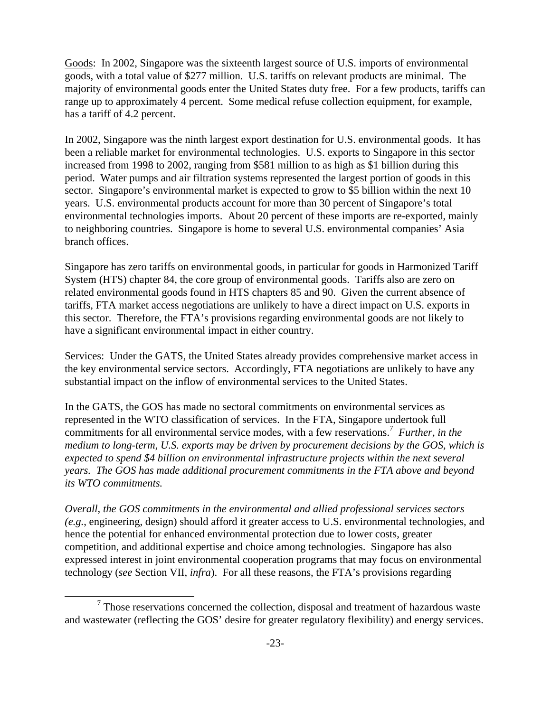Goods: In 2002, Singapore was the sixteenth largest source of U.S. imports of environmental goods, with a total value of \$277 million. U.S. tariffs on relevant products are minimal. The majority of environmental goods enter the United States duty free. For a few products, tariffs can range up to approximately 4 percent. Some medical refuse collection equipment, for example, has a tariff of 4.2 percent.

In 2002, Singapore was the ninth largest export destination for U.S. environmental goods. It has been a reliable market for environmental technologies. U.S. exports to Singapore in this sector increased from 1998 to 2002, ranging from \$581 million to as high as \$1 billion during this period. Water pumps and air filtration systems represented the largest portion of goods in this sector. Singapore's environmental market is expected to grow to \$5 billion within the next 10 years. U.S. environmental products account for more than 30 percent of Singapore's total environmental technologies imports. About 20 percent of these imports are re-exported, mainly to neighboring countries. Singapore is home to several U.S. environmental companies' Asia branch offices.

Singapore has zero tariffs on environmental goods, in particular for goods in Harmonized Tariff System (HTS) chapter 84, the core group of environmental goods. Tariffs also are zero on related environmental goods found in HTS chapters 85 and 90. Given the current absence of tariffs, FTA market access negotiations are unlikely to have a direct impact on U.S. exports in this sector. Therefore, the FTA's provisions regarding environmental goods are not likely to have a significant environmental impact in either country.

Services: Under the GATS, the United States already provides comprehensive market access in the key environmental service sectors. Accordingly, FTA negotiations are unlikely to have any substantial impact on the inflow of environmental services to the United States.

In the GATS, the GOS has made no sectoral commitments on environmental services as represented in the WTO classification of services. In the FTA, Singapore undertook full commitments for all environmental service modes, with a few reservations.<sup>7</sup> Further, in the *medium to long-term, U.S. exports may be driven by procurement decisions by the GOS, which is expected to spend \$4 billion on environmental infrastructure projects within the next several years. The GOS has made additional procurement commitments in the FTA above and beyond its WTO commitments.*

*Overall, the GOS commitments in the environmental and allied professional services sectors (e.g.*, engineering, design) should afford it greater access to U.S. environmental technologies, and hence the potential for enhanced environmental protection due to lower costs, greater competition, and additional expertise and choice among technologies. Singapore has also expressed interest in joint environmental cooperation programs that may focus on environmental technology (*see* Section VII, *infra*). For all these reasons, the FTA's provisions regarding

-

 $7$  Those reservations concerned the collection, disposal and treatment of hazardous waste and wastewater (reflecting the GOS' desire for greater regulatory flexibility) and energy services.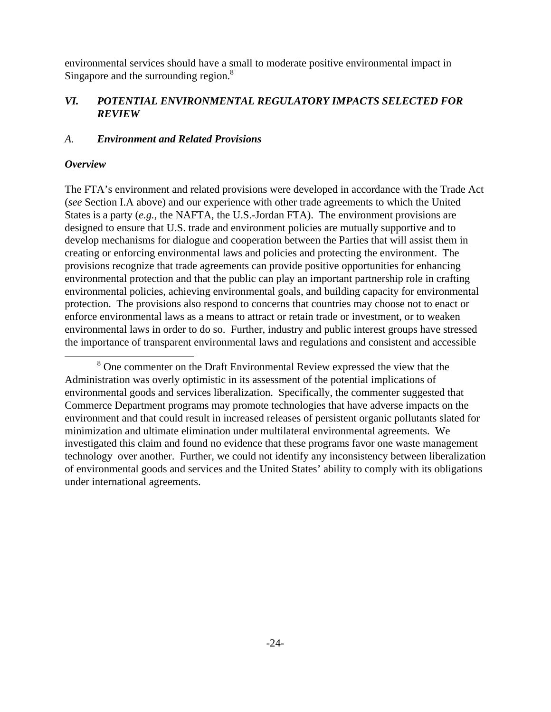environmental services should have a small to moderate positive environmental impact in Singapore and the surrounding region.<sup>8</sup>

### *VI. POTENTIAL ENVIRONMENTAL REGULATORY IMPACTS SELECTED FOR REVIEW*

### *A. Environment and Related Provisions*

#### *Overview*

1

The FTA's environment and related provisions were developed in accordance with the Trade Act (*see* Section I.A above) and our experience with other trade agreements to which the United States is a party (*e.g.*, the NAFTA, the U.S.-Jordan FTA). The environment provisions are designed to ensure that U.S. trade and environment policies are mutually supportive and to develop mechanisms for dialogue and cooperation between the Parties that will assist them in creating or enforcing environmental laws and policies and protecting the environment. The provisions recognize that trade agreements can provide positive opportunities for enhancing environmental protection and that the public can play an important partnership role in crafting environmental policies, achieving environmental goals, and building capacity for environmental protection. The provisions also respond to concerns that countries may choose not to enact or enforce environmental laws as a means to attract or retain trade or investment, or to weaken environmental laws in order to do so. Further, industry and public interest groups have stressed the importance of transparent environmental laws and regulations and consistent and accessible

<sup>&</sup>lt;sup>8</sup> One commenter on the Draft Environmental Review expressed the view that the Administration was overly optimistic in its assessment of the potential implications of environmental goods and services liberalization. Specifically, the commenter suggested that Commerce Department programs may promote technologies that have adverse impacts on the environment and that could result in increased releases of persistent organic pollutants slated for minimization and ultimate elimination under multilateral environmental agreements. We investigated this claim and found no evidence that these programs favor one waste management technology over another. Further, we could not identify any inconsistency between liberalization of environmental goods and services and the United States' ability to comply with its obligations under international agreements.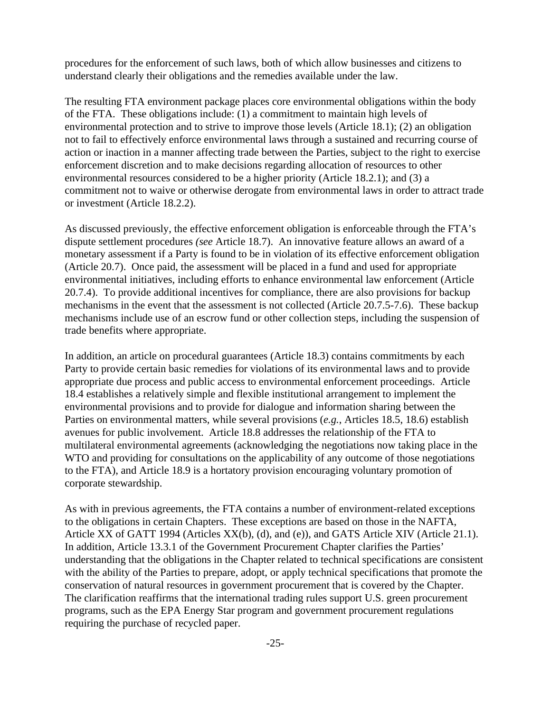procedures for the enforcement of such laws, both of which allow businesses and citizens to understand clearly their obligations and the remedies available under the law.

The resulting FTA environment package places core environmental obligations within the body of the FTA. These obligations include: (1) a commitment to maintain high levels of environmental protection and to strive to improve those levels (Article 18.1); (2) an obligation not to fail to effectively enforce environmental laws through a sustained and recurring course of action or inaction in a manner affecting trade between the Parties, subject to the right to exercise enforcement discretion and to make decisions regarding allocation of resources to other environmental resources considered to be a higher priority (Article 18.2.1); and (3) a commitment not to waive or otherwise derogate from environmental laws in order to attract trade or investment (Article 18.2.2).

As discussed previously, the effective enforcement obligation is enforceable through the FTA's dispute settlement procedures *(see* Article 18.7). An innovative feature allows an award of a monetary assessment if a Party is found to be in violation of its effective enforcement obligation (Article 20.7). Once paid, the assessment will be placed in a fund and used for appropriate environmental initiatives, including efforts to enhance environmental law enforcement (Article 20.7.4). To provide additional incentives for compliance, there are also provisions for backup mechanisms in the event that the assessment is not collected (Article 20.7.5-7.6). These backup mechanisms include use of an escrow fund or other collection steps, including the suspension of trade benefits where appropriate.

In addition, an article on procedural guarantees (Article 18.3) contains commitments by each Party to provide certain basic remedies for violations of its environmental laws and to provide appropriate due process and public access to environmental enforcement proceedings. Article 18.4 establishes a relatively simple and flexible institutional arrangement to implement the environmental provisions and to provide for dialogue and information sharing between the Parties on environmental matters, while several provisions (*e.g.*, Articles 18.5, 18.6) establish avenues for public involvement. Article 18.8 addresses the relationship of the FTA to multilateral environmental agreements (acknowledging the negotiations now taking place in the WTO and providing for consultations on the applicability of any outcome of those negotiations to the FTA), and Article 18.9 is a hortatory provision encouraging voluntary promotion of corporate stewardship.

As with in previous agreements, the FTA contains a number of environment-related exceptions to the obligations in certain Chapters. These exceptions are based on those in the NAFTA, Article XX of GATT 1994 (Articles XX(b), (d), and (e)), and GATS Article XIV (Article 21.1). In addition, Article 13.3.1 of the Government Procurement Chapter clarifies the Parties' understanding that the obligations in the Chapter related to technical specifications are consistent with the ability of the Parties to prepare, adopt, or apply technical specifications that promote the conservation of natural resources in government procurement that is covered by the Chapter. The clarification reaffirms that the international trading rules support U.S. green procurement programs, such as the EPA Energy Star program and government procurement regulations requiring the purchase of recycled paper.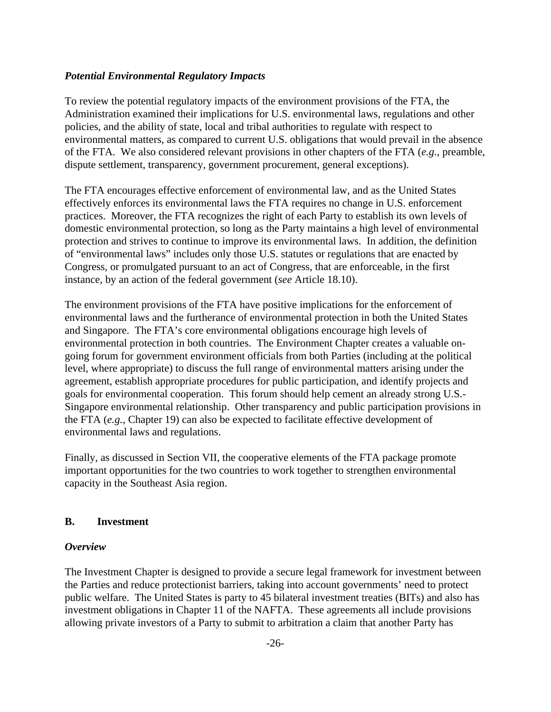#### *Potential Environmental Regulatory Impacts*

To review the potential regulatory impacts of the environment provisions of the FTA, the Administration examined their implications for U.S. environmental laws, regulations and other policies, and the ability of state, local and tribal authorities to regulate with respect to environmental matters, as compared to current U.S. obligations that would prevail in the absence of the FTA. We also considered relevant provisions in other chapters of the FTA (*e.g.*, preamble, dispute settlement, transparency, government procurement, general exceptions).

The FTA encourages effective enforcement of environmental law, and as the United States effectively enforces its environmental laws the FTA requires no change in U.S. enforcement practices. Moreover, the FTA recognizes the right of each Party to establish its own levels of domestic environmental protection, so long as the Party maintains a high level of environmental protection and strives to continue to improve its environmental laws. In addition, the definition of "environmental laws" includes only those U.S. statutes or regulations that are enacted by Congress, or promulgated pursuant to an act of Congress, that are enforceable, in the first instance, by an action of the federal government (*see* Article 18.10).

The environment provisions of the FTA have positive implications for the enforcement of environmental laws and the furtherance of environmental protection in both the United States and Singapore. The FTA's core environmental obligations encourage high levels of environmental protection in both countries. The Environment Chapter creates a valuable ongoing forum for government environment officials from both Parties (including at the political level, where appropriate) to discuss the full range of environmental matters arising under the agreement, establish appropriate procedures for public participation, and identify projects and goals for environmental cooperation. This forum should help cement an already strong U.S.- Singapore environmental relationship. Other transparency and public participation provisions in the FTA (*e.g.*, Chapter 19) can also be expected to facilitate effective development of environmental laws and regulations.

Finally, as discussed in Section VII, the cooperative elements of the FTA package promote important opportunities for the two countries to work together to strengthen environmental capacity in the Southeast Asia region.

#### **B. Investment**

#### *Overview*

The Investment Chapter is designed to provide a secure legal framework for investment between the Parties and reduce protectionist barriers, taking into account governments' need to protect public welfare. The United States is party to 45 bilateral investment treaties (BITs) and also has investment obligations in Chapter 11 of the NAFTA. These agreements all include provisions allowing private investors of a Party to submit to arbitration a claim that another Party has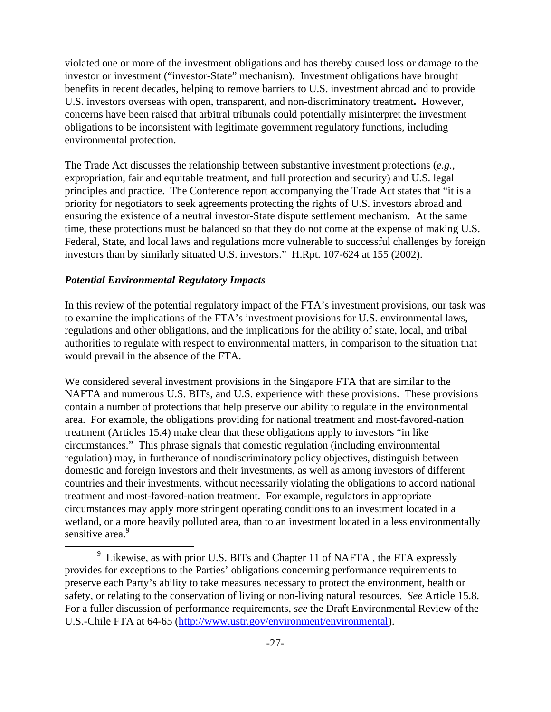violated one or more of the investment obligations and has thereby caused loss or damage to the investor or investment ("investor-State" mechanism). Investment obligations have brought benefits in recent decades, helping to remove barriers to U.S. investment abroad and to provide U.S. investors overseas with open, transparent, and non-discriminatory treatment**.** However, concerns have been raised that arbitral tribunals could potentially misinterpret the investment obligations to be inconsistent with legitimate government regulatory functions, including environmental protection.

The Trade Act discusses the relationship between substantive investment protections (*e.g.*, expropriation, fair and equitable treatment, and full protection and security) and U.S. legal principles and practice. The Conference report accompanying the Trade Act states that "it is a priority for negotiators to seek agreements protecting the rights of U.S. investors abroad and ensuring the existence of a neutral investor-State dispute settlement mechanism. At the same time, these protections must be balanced so that they do not come at the expense of making U.S. Federal, State, and local laws and regulations more vulnerable to successful challenges by foreign investors than by similarly situated U.S. investors." H.Rpt. 107-624 at 155 (2002).

### *Potential Environmental Regulatory Impacts*

-

In this review of the potential regulatory impact of the FTA's investment provisions, our task was to examine the implications of the FTA's investment provisions for U.S. environmental laws, regulations and other obligations, and the implications for the ability of state, local, and tribal authorities to regulate with respect to environmental matters, in comparison to the situation that would prevail in the absence of the FTA.

We considered several investment provisions in the Singapore FTA that are similar to the NAFTA and numerous U.S. BITs, and U.S. experience with these provisions. These provisions contain a number of protections that help preserve our ability to regulate in the environmental area. For example, the obligations providing for national treatment and most-favored-nation treatment (Articles 15.4) make clear that these obligations apply to investors "in like circumstances." This phrase signals that domestic regulation (including environmental regulation) may, in furtherance of nondiscriminatory policy objectives, distinguish between domestic and foreign investors and their investments, as well as among investors of different countries and their investments, without necessarily violating the obligations to accord national treatment and most-favored-nation treatment. For example, regulators in appropriate circumstances may apply more stringent operating conditions to an investment located in a wetland, or a more heavily polluted area, than to an investment located in a less environmentally sensitive area.<sup>9</sup>

 $9$  Likewise, as with prior U.S. BITs and Chapter 11 of NAFTA, the FTA expressly provides for exceptions to the Parties' obligations concerning performance requirements to preserve each Party's ability to take measures necessary to protect the environment, health or safety, or relating to the conservation of living or non-living natural resources. *See* Article 15.8. For a fuller discussion of performance requirements, *see* the Draft Environmental Review of the U.S.-Chile FTA at 64-65 (http://www.ustr.gov/environment/environmental).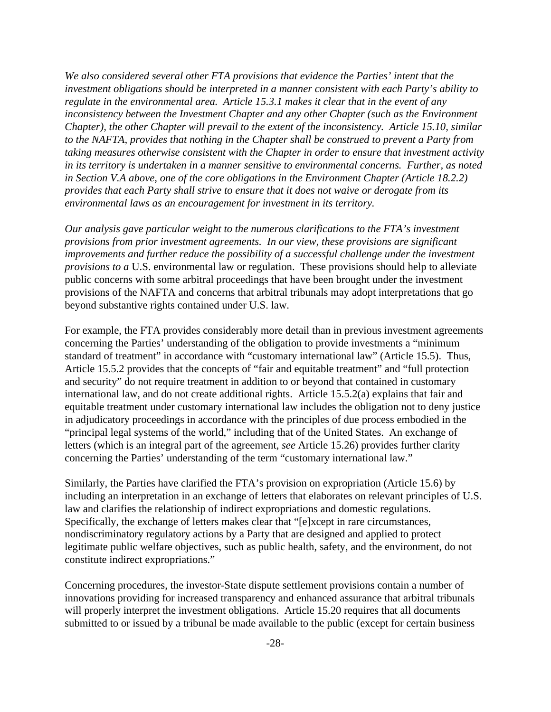*We also considered several other FTA provisions that evidence the Parties' intent that the investment obligations should be interpreted in a manner consistent with each Party's ability to regulate in the environmental area. Article 15.3.1 makes it clear that in the event of any inconsistency between the Investment Chapter and any other Chapter (such as the Environment Chapter), the other Chapter will prevail to the extent of the inconsistency. Article 15.10, similar to the NAFTA, provides that nothing in the Chapter shall be construed to prevent a Party from taking measures otherwise consistent with the Chapter in order to ensure that investment activity in its territory is undertaken in a manner sensitive to environmental concerns. Further, as noted in Section V.A above, one of the core obligations in the Environment Chapter (Article 18.2.2) provides that each Party shall strive to ensure that it does not waive or derogate from its environmental laws as an encouragement for investment in its territory.*

*Our analysis gave particular weight to the numerous clarifications to the FTA's investment provisions from prior investment agreements. In our view, these provisions are significant improvements and further reduce the possibility of a successful challenge under the investment provisions to a* U.S. environmental law or regulation. These provisions should help to alleviate public concerns with some arbitral proceedings that have been brought under the investment provisions of the NAFTA and concerns that arbitral tribunals may adopt interpretations that go beyond substantive rights contained under U.S. law.

For example, the FTA provides considerably more detail than in previous investment agreements concerning the Parties' understanding of the obligation to provide investments a "minimum standard of treatment" in accordance with "customary international law" (Article 15.5). Thus, Article 15.5.2 provides that the concepts of "fair and equitable treatment" and "full protection and security" do not require treatment in addition to or beyond that contained in customary international law, and do not create additional rights. Article 15.5.2(a) explains that fair and equitable treatment under customary international law includes the obligation not to deny justice in adjudicatory proceedings in accordance with the principles of due process embodied in the "principal legal systems of the world," including that of the United States. An exchange of letters (which is an integral part of the agreement, *see* Article 15.26) provides further clarity concerning the Parties' understanding of the term "customary international law."

Similarly, the Parties have clarified the FTA's provision on expropriation (Article 15.6) by including an interpretation in an exchange of letters that elaborates on relevant principles of U.S. law and clarifies the relationship of indirect expropriations and domestic regulations. Specifically, the exchange of letters makes clear that "[e]xcept in rare circumstances, nondiscriminatory regulatory actions by a Party that are designed and applied to protect legitimate public welfare objectives, such as public health, safety, and the environment, do not constitute indirect expropriations."

Concerning procedures, the investor-State dispute settlement provisions contain a number of innovations providing for increased transparency and enhanced assurance that arbitral tribunals will properly interpret the investment obligations. Article 15.20 requires that all documents submitted to or issued by a tribunal be made available to the public (except for certain business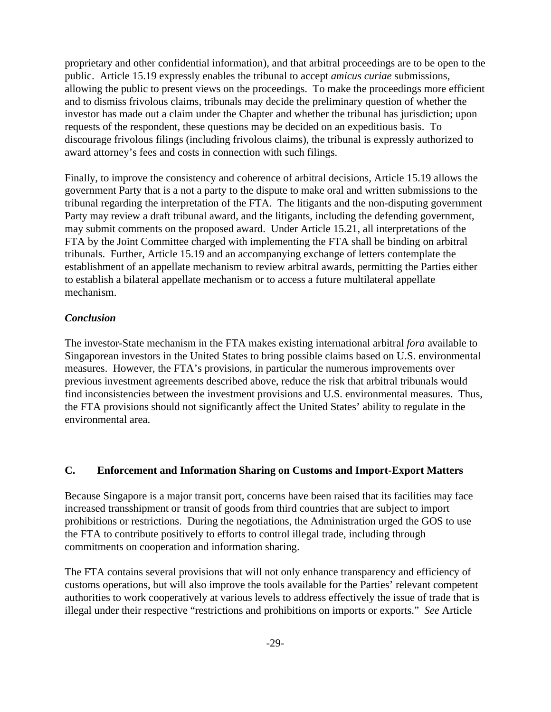proprietary and other confidential information), and that arbitral proceedings are to be open to the public. Article 15.19 expressly enables the tribunal to accept *amicus curiae* submissions, allowing the public to present views on the proceedings. To make the proceedings more efficient and to dismiss frivolous claims, tribunals may decide the preliminary question of whether the investor has made out a claim under the Chapter and whether the tribunal has jurisdiction; upon requests of the respondent, these questions may be decided on an expeditious basis. To discourage frivolous filings (including frivolous claims), the tribunal is expressly authorized to award attorney's fees and costs in connection with such filings.

Finally, to improve the consistency and coherence of arbitral decisions, Article 15.19 allows the government Party that is a not a party to the dispute to make oral and written submissions to the tribunal regarding the interpretation of the FTA. The litigants and the non-disputing government Party may review a draft tribunal award, and the litigants, including the defending government, may submit comments on the proposed award. Under Article 15.21, all interpretations of the FTA by the Joint Committee charged with implementing the FTA shall be binding on arbitral tribunals. Further, Article 15.19 and an accompanying exchange of letters contemplate the establishment of an appellate mechanism to review arbitral awards, permitting the Parties either to establish a bilateral appellate mechanism or to access a future multilateral appellate mechanism.

### *Conclusion*

The investor-State mechanism in the FTA makes existing international arbitral *fora* available to Singaporean investors in the United States to bring possible claims based on U.S. environmental measures. However, the FTA's provisions, in particular the numerous improvements over previous investment agreements described above, reduce the risk that arbitral tribunals would find inconsistencies between the investment provisions and U.S. environmental measures. Thus, the FTA provisions should not significantly affect the United States' ability to regulate in the environmental area.

# **C. Enforcement and Information Sharing on Customs and Import-Export Matters**

Because Singapore is a major transit port, concerns have been raised that its facilities may face increased transshipment or transit of goods from third countries that are subject to import prohibitions or restrictions. During the negotiations, the Administration urged the GOS to use the FTA to contribute positively to efforts to control illegal trade, including through commitments on cooperation and information sharing.

The FTA contains several provisions that will not only enhance transparency and efficiency of customs operations, but will also improve the tools available for the Parties' relevant competent authorities to work cooperatively at various levels to address effectively the issue of trade that is illegal under their respective "restrictions and prohibitions on imports or exports." *See* Article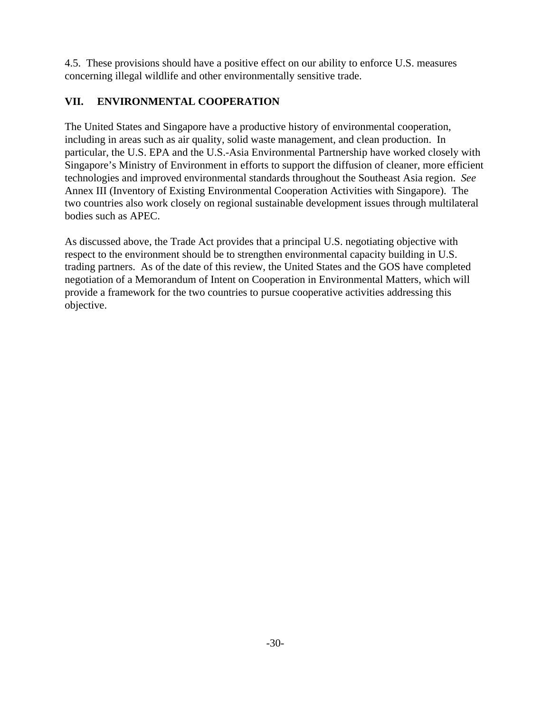4.5. These provisions should have a positive effect on our ability to enforce U.S. measures concerning illegal wildlife and other environmentally sensitive trade.

# **VII. ENVIRONMENTAL COOPERATION**

The United States and Singapore have a productive history of environmental cooperation, including in areas such as air quality, solid waste management, and clean production. In particular, the U.S. EPA and the U.S.-Asia Environmental Partnership have worked closely with Singapore's Ministry of Environment in efforts to support the diffusion of cleaner, more efficient technologies and improved environmental standards throughout the Southeast Asia region. *See* Annex III (Inventory of Existing Environmental Cooperation Activities with Singapore). The two countries also work closely on regional sustainable development issues through multilateral bodies such as APEC.

As discussed above, the Trade Act provides that a principal U.S. negotiating objective with respect to the environment should be to strengthen environmental capacity building in U.S. trading partners. As of the date of this review, the United States and the GOS have completed negotiation of a Memorandum of Intent on Cooperation in Environmental Matters, which will provide a framework for the two countries to pursue cooperative activities addressing this objective.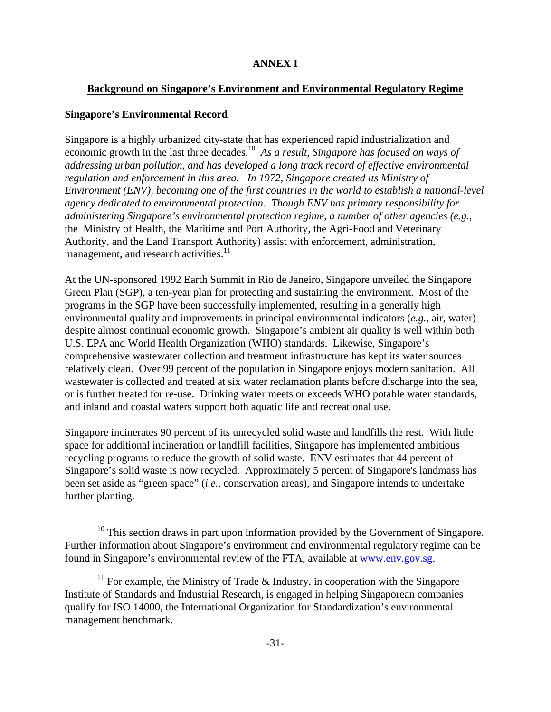# **ANNEX I**

# **Background on Singapore's Environment and Environmental Regulatory Regime**

# **Singapore's Environmental Record**

 $\overline{a}$ 

Singapore is a highly urbanized city-state that has experienced rapid industrialization and economic growth in the last three decades.<sup>10</sup> As a result, Singapore has focused on ways of *addressing urban pollution, and has developed a long track record of effective environmental regulation and enforcement in this area. In 1972, Singapore created its Ministry of Environment (ENV), becoming one of the first countries in the world to establish a national-level agency dedicated to environmental protection. Though ENV has primary responsibility for administering Singapore's environmental protection regime, a number of other agencies (e.g.*, the Ministry of Health, the Maritime and Port Authority, the Agri-Food and Veterinary Authority, and the Land Transport Authority) assist with enforcement, administration, management, and research activities.<sup>11</sup>

At the UN-sponsored 1992 Earth Summit in Rio de Janeiro, Singapore unveiled the Singapore Green Plan (SGP), a ten-year plan for protecting and sustaining the environment. Most of the programs in the SGP have been successfully implemented, resulting in a generally high environmental quality and improvements in principal environmental indicators (*e.g.*, air, water) despite almost continual economic growth. Singapore's ambient air quality is well within both U.S. EPA and World Health Organization (WHO) standards. Likewise, Singapore's comprehensive wastewater collection and treatment infrastructure has kept its water sources relatively clean. Over 99 percent of the population in Singapore enjoys modern sanitation. All wastewater is collected and treated at six water reclamation plants before discharge into the sea, or is further treated for re-use. Drinking water meets or exceeds WHO potable water standards, and inland and coastal waters support both aquatic life and recreational use.

Singapore incinerates 90 percent of its unrecycled solid waste and landfills the rest. With little space for additional incineration or landfill facilities, Singapore has implemented ambitious recycling programs to reduce the growth of solid waste. ENV estimates that 44 percent of Singapore's solid waste is now recycled. Approximately 5 percent of Singapore's landmass has been set aside as "green space" (*i.e.*, conservation areas), and Singapore intends to undertake further planting.

<sup>&</sup>lt;sup>10</sup> This section draws in part upon information provided by the Government of Singapore. Further information about Singapore's environment and environmental regulatory regime can be found in Singapore's environmental review of the FTA, available at www.env.gov.sg.

<sup>&</sup>lt;sup>11</sup> For example, the Ministry of Trade  $\&$  Industry, in cooperation with the Singapore Institute of Standards and Industrial Research, is engaged in helping Singaporean companies qualify for ISO 14000, the International Organization for Standardization's environmental management benchmark.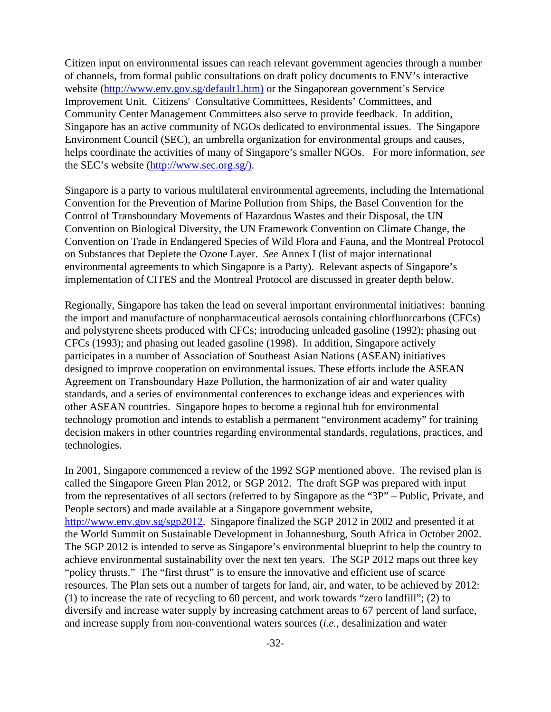Citizen input on environmental issues can reach relevant government agencies through a number of channels, from formal public consultations on draft policy documents to ENV's interactive website (http://www.env.gov.sg/default1.htm) or the Singaporean government's Service Improvement Unit. Citizens' Consultative Committees, Residents' Committees, and Community Center Management Committees also serve to provide feedback. In addition, Singapore has an active community of NGOs dedicated to environmental issues. The Singapore Environment Council (SEC), an umbrella organization for environmental groups and causes, helps coordinate the activities of many of Singapore's smaller NGOs. For more information, *see* the SEC's website (http://www.sec.org.sg/).

Singapore is a party to various multilateral environmental agreements, including the International Convention for the Prevention of Marine Pollution from Ships, the Basel Convention for the Control of Transboundary Movements of Hazardous Wastes and their Disposal, the UN Convention on Biological Diversity, the UN Framework Convention on Climate Change, the Convention on Trade in Endangered Species of Wild Flora and Fauna, and the Montreal Protocol on Substances that Deplete the Ozone Layer. *See* Annex I (list of major international environmental agreements to which Singapore is a Party). Relevant aspects of Singapore's implementation of CITES and the Montreal Protocol are discussed in greater depth below.

Regionally, Singapore has taken the lead on several important environmental initiatives: banning the import and manufacture of nonpharmaceutical aerosols containing chlorfluorcarbons (CFCs) and polystyrene sheets produced with CFCs; introducing unleaded gasoline (1992); phasing out CFCs (1993); and phasing out leaded gasoline (1998). In addition, Singapore actively participates in a number of Association of Southeast Asian Nations (ASEAN) initiatives designed to improve cooperation on environmental issues. These efforts include the ASEAN Agreement on Transboundary Haze Pollution, the harmonization of air and water quality standards, and a series of environmental conferences to exchange ideas and experiences with other ASEAN countries. Singapore hopes to become a regional hub for environmental technology promotion and intends to establish a permanent "environment academy" for training decision makers in other countries regarding environmental standards, regulations, practices, and technologies.

In 2001, Singapore commenced a review of the 1992 SGP mentioned above. The revised plan is called the Singapore Green Plan 2012, or SGP 2012. The draft SGP was prepared with input from the representatives of all sectors (referred to by Singapore as the "3P" – Public, Private, and People sectors) and made available at a Singapore government website, http://www.env.gov.sg/sgp2012. Singapore finalized the SGP 2012 in 2002 and presented it at the World Summit on Sustainable Development in Johannesburg, South Africa in October 2002. The SGP 2012 is intended to serve as Singapore's environmental blueprint to help the country to achieve environmental sustainability over the next ten years. The SGP 2012 maps out three key "policy thrusts." The "first thrust" is to ensure the innovative and efficient use of scarce resources. The Plan sets out a number of targets for land, air, and water, to be achieved by 2012: (1) to increase the rate of recycling to 60 percent, and work towards "zero landfill"; (2) to diversify and increase water supply by increasing catchment areas to 67 percent of land surface, and increase supply from non-conventional waters sources (*i.e.*, desalinization and water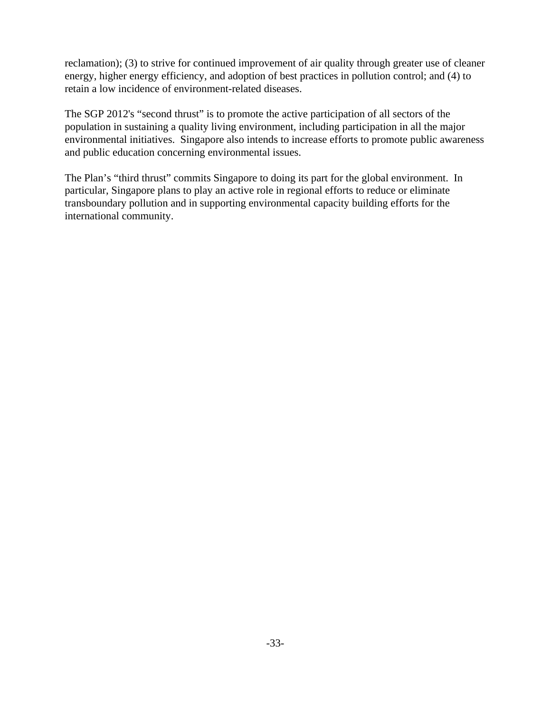reclamation); (3) to strive for continued improvement of air quality through greater use of cleaner energy, higher energy efficiency, and adoption of best practices in pollution control; and (4) to retain a low incidence of environment-related diseases.

The SGP 2012's "second thrust" is to promote the active participation of all sectors of the population in sustaining a quality living environment, including participation in all the major environmental initiatives. Singapore also intends to increase efforts to promote public awareness and public education concerning environmental issues.

The Plan's "third thrust" commits Singapore to doing its part for the global environment. In particular, Singapore plans to play an active role in regional efforts to reduce or eliminate transboundary pollution and in supporting environmental capacity building efforts for the international community.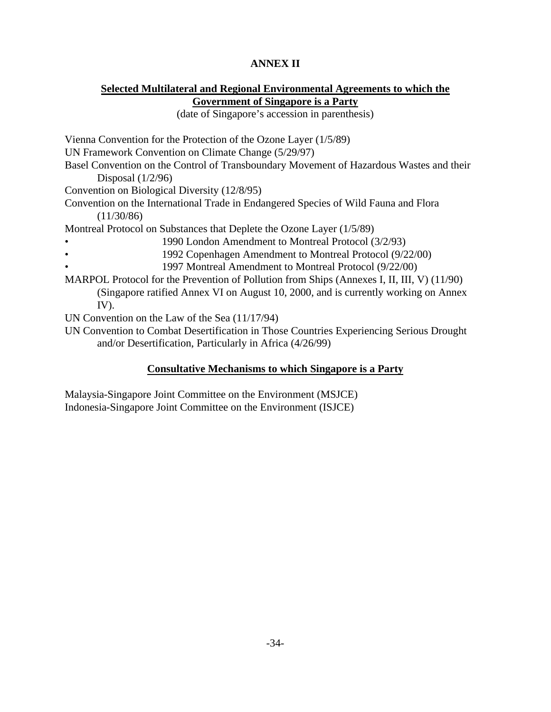# **ANNEX II**

# **Selected Multilateral and Regional Environmental Agreements to which the Government of Singapore is a Party**

(date of Singapore's accession in parenthesis)

Vienna Convention for the Protection of the Ozone Layer (1/5/89) UN Framework Convention on Climate Change (5/29/97) Basel Convention on the Control of Transboundary Movement of Hazardous Wastes and their Disposal (1/2/96) Convention on Biological Diversity (12/8/95) Convention on the International Trade in Endangered Species of Wild Fauna and Flora  $(11/30/86)$ Montreal Protocol on Substances that Deplete the Ozone Layer (1/5/89) • 1990 London Amendment to Montreal Protocol (3/2/93) • 1992 Copenhagen Amendment to Montreal Protocol (9/22/00) • 1997 Montreal Amendment to Montreal Protocol (9/22/00) MARPOL Protocol for the Prevention of Pollution from Ships (Annexes I, II, III, V) (11/90) (Singapore ratified Annex VI on August 10, 2000, and is currently working on Annex IV). UN Convention on the Law of the Sea (11/17/94) UN Convention to Combat Desertification in Those Countries Experiencing Serious Drought and/or Desertification, Particularly in Africa (4/26/99)

# **Consultative Mechanisms to which Singapore is a Party**

Malaysia-Singapore Joint Committee on the Environment (MSJCE) Indonesia-Singapore Joint Committee on the Environment (ISJCE)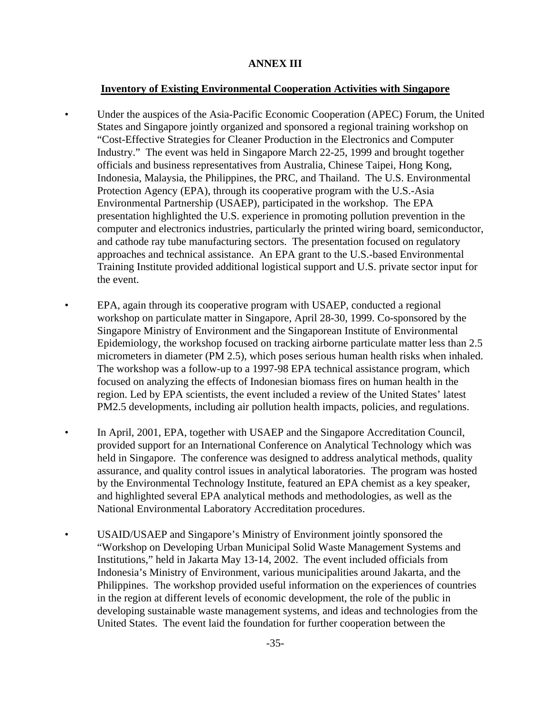# **ANNEX III**

### **Inventory of Existing Environmental Cooperation Activities with Singapore**

- Under the auspices of the Asia-Pacific Economic Cooperation (APEC) Forum, the United States and Singapore jointly organized and sponsored a regional training workshop on "Cost-Effective Strategies for Cleaner Production in the Electronics and Computer Industry." The event was held in Singapore March 22-25, 1999 and brought together officials and business representatives from Australia, Chinese Taipei, Hong Kong, Indonesia, Malaysia, the Philippines, the PRC, and Thailand. The U.S. Environmental Protection Agency (EPA), through its cooperative program with the U.S.-Asia Environmental Partnership (USAEP), participated in the workshop. The EPA presentation highlighted the U.S. experience in promoting pollution prevention in the computer and electronics industries, particularly the printed wiring board, semiconductor, and cathode ray tube manufacturing sectors. The presentation focused on regulatory approaches and technical assistance. An EPA grant to the U.S.-based Environmental Training Institute provided additional logistical support and U.S. private sector input for the event.
- EPA, again through its cooperative program with USAEP, conducted a regional workshop on particulate matter in Singapore, April 28-30, 1999. Co-sponsored by the Singapore Ministry of Environment and the Singaporean Institute of Environmental Epidemiology, the workshop focused on tracking airborne particulate matter less than 2.5 micrometers in diameter (PM 2.5), which poses serious human health risks when inhaled. The workshop was a follow-up to a 1997-98 EPA technical assistance program, which focused on analyzing the effects of Indonesian biomass fires on human health in the region. Led by EPA scientists, the event included a review of the United States' latest PM2.5 developments, including air pollution health impacts, policies, and regulations.
- In April, 2001, EPA, together with USAEP and the Singapore Accreditation Council, provided support for an International Conference on Analytical Technology which was held in Singapore. The conference was designed to address analytical methods, quality assurance, and quality control issues in analytical laboratories. The program was hosted by the Environmental Technology Institute, featured an EPA chemist as a key speaker, and highlighted several EPA analytical methods and methodologies, as well as the National Environmental Laboratory Accreditation procedures.
- USAID/USAEP and Singapore's Ministry of Environment jointly sponsored the "Workshop on Developing Urban Municipal Solid Waste Management Systems and Institutions," held in Jakarta May 13-14, 2002. The event included officials from Indonesia's Ministry of Environment, various municipalities around Jakarta, and the Philippines. The workshop provided useful information on the experiences of countries in the region at different levels of economic development, the role of the public in developing sustainable waste management systems, and ideas and technologies from the United States. The event laid the foundation for further cooperation between the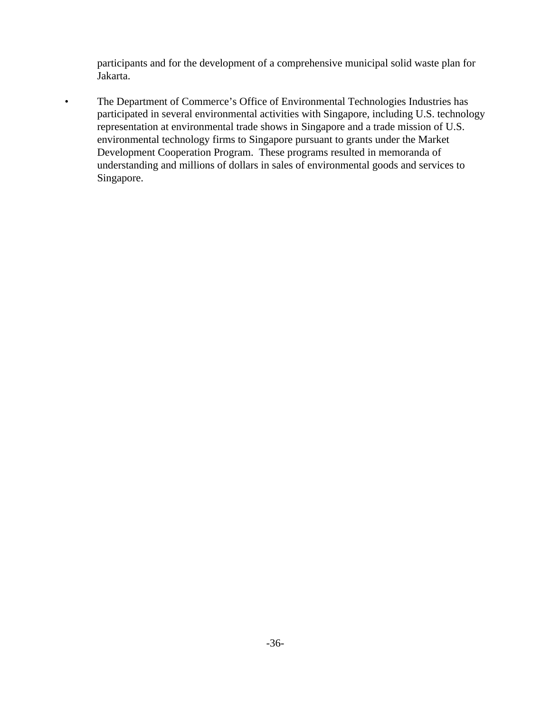participants and for the development of a comprehensive municipal solid waste plan for Jakarta.

• The Department of Commerce's Office of Environmental Technologies Industries has participated in several environmental activities with Singapore, including U.S. technology representation at environmental trade shows in Singapore and a trade mission of U.S. environmental technology firms to Singapore pursuant to grants under the Market Development Cooperation Program. These programs resulted in memoranda of understanding and millions of dollars in sales of environmental goods and services to Singapore.